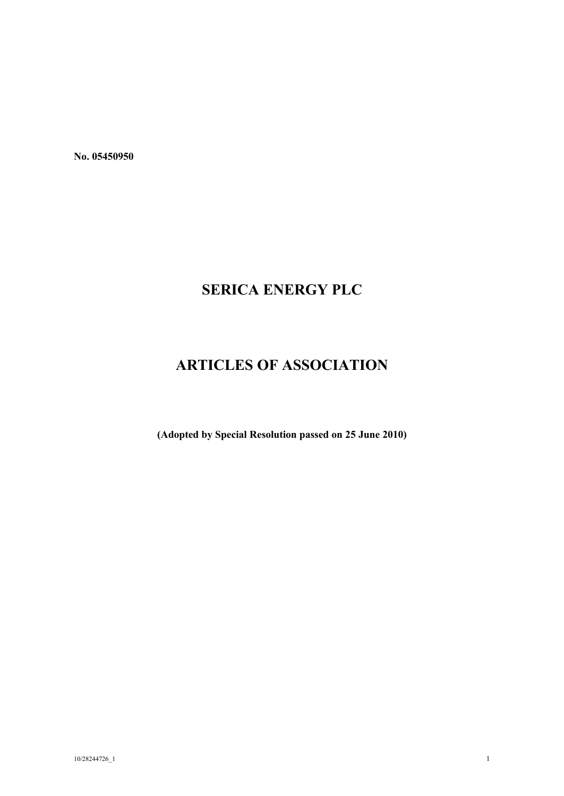**No. 05450950**

# **SERICA ENERGY PLC**

# **ARTICLES OF ASSOCIATION**

**(Adopted by Special Resolution passed on 25 June 2010)**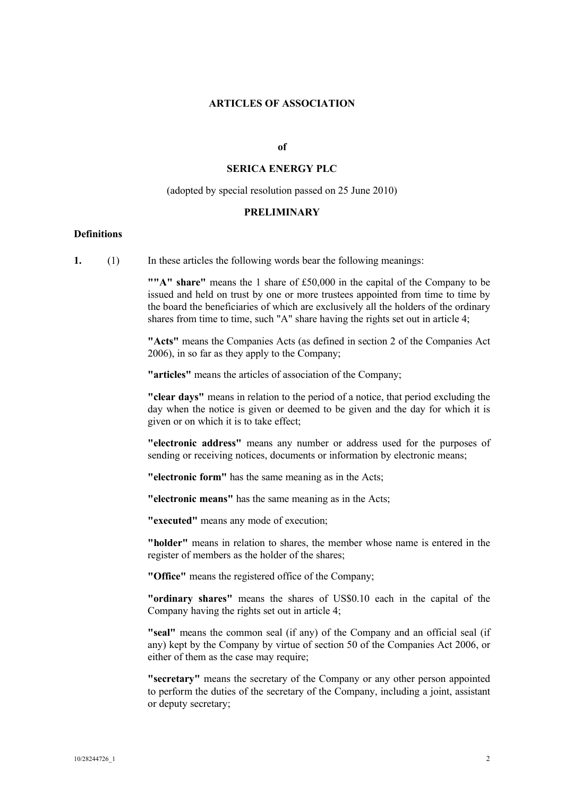#### **ARTICLES OF ASSOCIATION**

#### **of**

# **SERICA ENERGY PLC**

#### (adopted by special resolution passed on 25 June 2010)

#### **PRELIMINARY**

#### **Definitions**

**1.** (1) In these articles the following words bear the following meanings:

**""A" share"** means the 1 share of £50,000 in the capital of the Company to be issued and held on trust by one or more trustees appointed from time to time by the board the beneficiaries of which are exclusively all the holders of the ordinary shares from time to time, such "A" share having the rights set out in article 4;

**"Acts"** means the Companies Acts (as defined in section 2 of the Companies Act 2006), in so far as they apply to the Company;

**"articles"** means the articles of association of the Company;

**"clear days"** means in relation to the period of a notice, that period excluding the day when the notice is given or deemed to be given and the day for which it is given or on which it is to take effect;

**"electronic address"** means any number or address used for the purposes of sending or receiving notices, documents or information by electronic means;

**"electronic form"** has the same meaning as in the Acts;

**"electronic means"** has the same meaning as in the Acts;

**"executed"** means any mode of execution;

**"holder"** means in relation to shares, the member whose name is entered in the register of members as the holder of the shares;

**"Office"** means the registered office of the Company;

**"ordinary shares"** means the shares of US\$0.10 each in the capital of the Company having the rights set out in article 4;

**"seal"** means the common seal (if any) of the Company and an official seal (if any) kept by the Company by virtue of section 50 of the Companies Act 2006, or either of them as the case may require;

**"secretary"** means the secretary of the Company or any other person appointed to perform the duties of the secretary of the Company, including a joint, assistant or deputy secretary;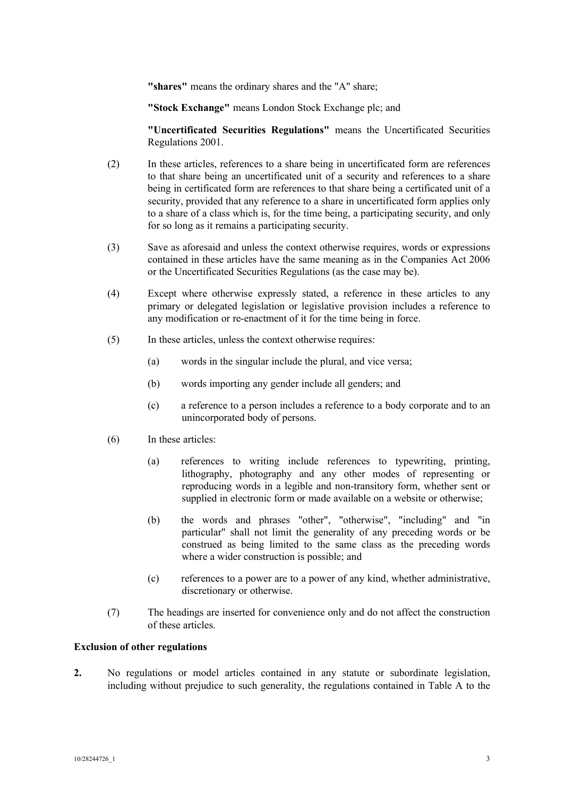**"shares"** means the ordinary shares and the "A" share;

**"Stock Exchange"** means London Stock Exchange plc; and

**"Uncertificated Securities Regulations"** means the Uncertificated Securities Regulations 2001.

- (2) In these articles, references to a share being in uncertificated form are references to that share being an uncertificated unit of a security and references to a share being in certificated form are references to that share being a certificated unit of a security, provided that any reference to a share in uncertificated form applies only to a share of a class which is, for the time being, a participating security, and only for so long as it remains a participating security.
- (3) Save as aforesaid and unless the context otherwise requires, words or expressions contained in these articles have the same meaning as in the Companies Act 2006 or the Uncertificated Securities Regulations (as the case may be).
- (4) Except where otherwise expressly stated, a reference in these articles to any primary or delegated legislation or legislative provision includes a reference to any modification or re-enactment of it for the time being in force.
- (5) In these articles, unless the context otherwise requires:
	- (a) words in the singular include the plural, and vice versa;
	- (b) words importing any gender include all genders; and
	- (c) a reference to a person includes a reference to a body corporate and to an unincorporated body of persons.
- (6) In these articles:
	- (a) references to writing include references to typewriting, printing, lithography, photography and any other modes of representing or reproducing words in a legible and non-transitory form, whether sent or supplied in electronic form or made available on a website or otherwise;
	- (b) the words and phrases "other", "otherwise", "including" and "in particular" shall not limit the generality of any preceding words or be construed as being limited to the same class as the preceding words where a wider construction is possible; and
	- (c) references to a power are to a power of any kind, whether administrative, discretionary or otherwise.
- (7) The headings are inserted for convenience only and do not affect the construction of these articles.

#### **Exclusion of other regulations**

**2.** No regulations or model articles contained in any statute or subordinate legislation, including without prejudice to such generality, the regulations contained in Table A to the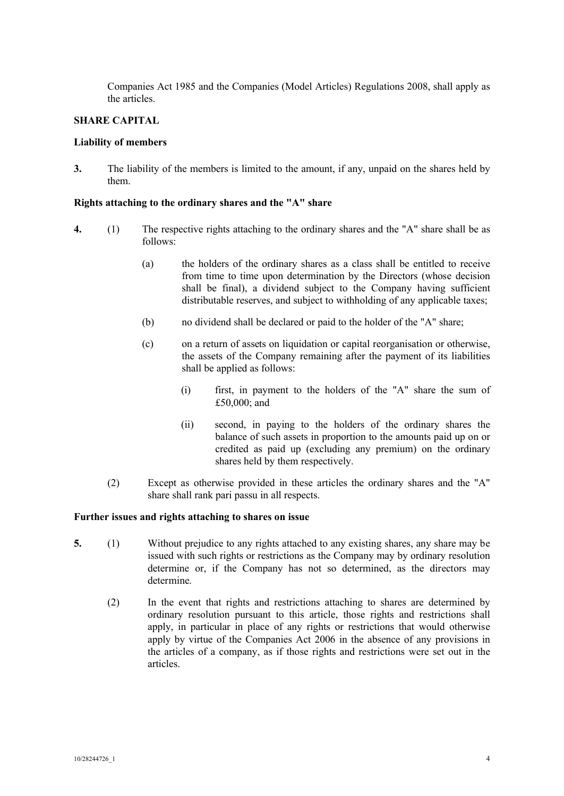Companies Act 1985 and the Companies (Model Articles) Regulations 2008, shall apply as the articles.

# **SHARE CAPITAL**

## **Liability of members**

**3.** The liability of the members is limited to the amount, if any, unpaid on the shares held by them.

# **Rights attaching to the ordinary shares and the "A" share**

- **4.** (1) The respective rights attaching to the ordinary shares and the "A" share shall be as follows:
	- (a) the holders of the ordinary shares as a class shall be entitled to receive from time to time upon determination by the Directors (whose decision shall be final), a dividend subject to the Company having sufficient distributable reserves, and subject to withholding of any applicable taxes;
	- (b) no dividend shall be declared or paid to the holder of the "A" share;
	- (c) on a return of assets on liquidation or capital reorganisation or otherwise, the assets of the Company remaining after the payment of its liabilities shall be applied as follows:
		- (i) first, in payment to the holders of the "A" share the sum of £50,000; and
		- (ii) second, in paying to the holders of the ordinary shares the balance of such assets in proportion to the amounts paid up on or credited as paid up (excluding any premium) on the ordinary shares held by them respectively.
	- (2) Except as otherwise provided in these articles the ordinary shares and the "A" share shall rank pari passu in all respects.

#### **Further issues and rights attaching to shares on issue**

- **5.** (1) Without prejudice to any rights attached to any existing shares, any share may be issued with such rights or restrictions as the Company may by ordinary resolution determine or, if the Company has not so determined, as the directors may determine.
	- (2) In the event that rights and restrictions attaching to shares are determined by ordinary resolution pursuant to this article, those rights and restrictions shall apply, in particular in place of any rights or restrictions that would otherwise apply by virtue of the Companies Act 2006 in the absence of any provisions in the articles of a company, as if those rights and restrictions were set out in the articles.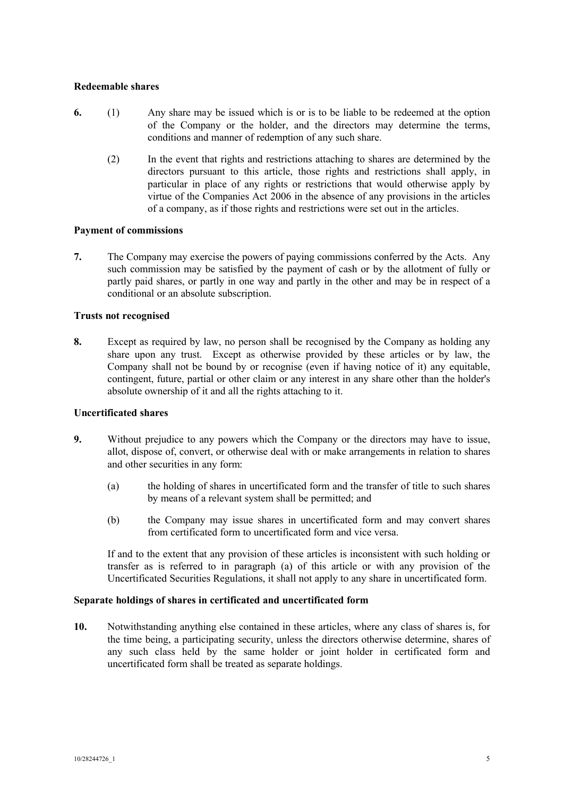# **Redeemable shares**

- **6.** (1) Any share may be issued which is or is to be liable to be redeemed at the option of the Company or the holder, and the directors may determine the terms, conditions and manner of redemption of any such share.
	- (2) In the event that rights and restrictions attaching to shares are determined by the directors pursuant to this article, those rights and restrictions shall apply, in particular in place of any rights or restrictions that would otherwise apply by virtue of the Companies Act 2006 in the absence of any provisions in the articles of a company, as if those rights and restrictions were set out in the articles.

# **Payment of commissions**

**7.** The Company may exercise the powers of paying commissions conferred by the Acts. Any such commission may be satisfied by the payment of cash or by the allotment of fully or partly paid shares, or partly in one way and partly in the other and may be in respect of a conditional or an absolute subscription.

# **Trusts not recognised**

**8.** Except as required by law, no person shall be recognised by the Company as holding any share upon any trust. Except as otherwise provided by these articles or by law, the Company shall not be bound by or recognise (even if having notice of it) any equitable, contingent, future, partial or other claim or any interest in any share other than the holder's absolute ownership of it and all the rights attaching to it.

# **Uncertificated shares**

- **9.** Without prejudice to any powers which the Company or the directors may have to issue, allot, dispose of, convert, or otherwise deal with or make arrangements in relation to shares and other securities in any form:
	- (a) the holding of shares in uncertificated form and the transfer of title to such shares by means of a relevant system shall be permitted; and
	- (b) the Company may issue shares in uncertificated form and may convert shares from certificated form to uncertificated form and vice versa.

If and to the extent that any provision of these articles is inconsistent with such holding or transfer as is referred to in paragraph (a) of this article or with any provision of the Uncertificated Securities Regulations, it shall not apply to any share in uncertificated form.

# **Separate holdings of shares in certificated and uncertificated form**

**10.** Notwithstanding anything else contained in these articles, where any class of shares is, for the time being, a participating security, unless the directors otherwise determine, shares of any such class held by the same holder or joint holder in certificated form and uncertificated form shall be treated as separate holdings.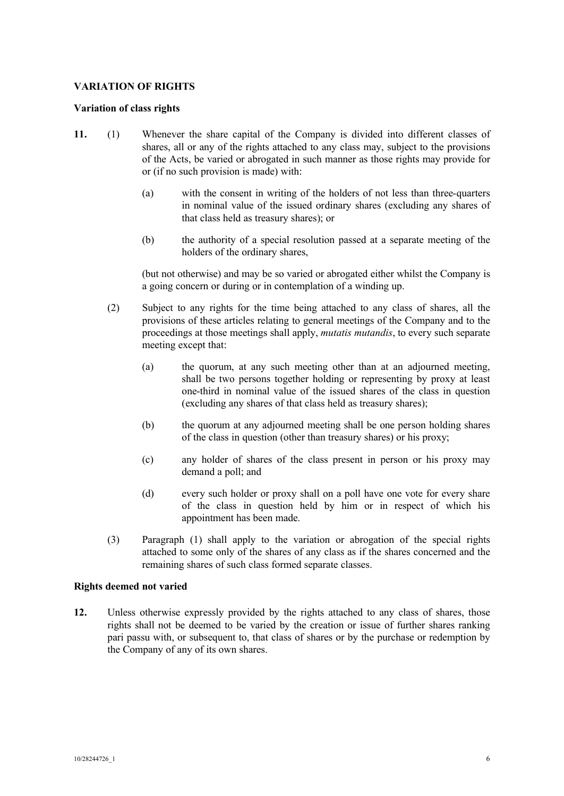# **VARIATION OF RIGHTS**

## **Variation of class rights**

- **11.** (1) Whenever the share capital of the Company is divided into different classes of shares, all or any of the rights attached to any class may, subject to the provisions of the Acts, be varied or abrogated in such manner as those rights may provide for or (if no such provision is made) with:
	- (a) with the consent in writing of the holders of not less than three-quarters in nominal value of the issued ordinary shares (excluding any shares of that class held as treasury shares); or
	- (b) the authority of a special resolution passed at a separate meeting of the holders of the ordinary shares,

(but not otherwise) and may be so varied or abrogated either whilst the Company is a going concern or during or in contemplation of a winding up.

- (2) Subject to any rights for the time being attached to any class of shares, all the provisions of these articles relating to general meetings of the Company and to the proceedings at those meetings shall apply, *mutatis mutandis*, to every such separate meeting except that:
	- (a) the quorum, at any such meeting other than at an adjourned meeting, shall be two persons together holding or representing by proxy at least one-third in nominal value of the issued shares of the class in question (excluding any shares of that class held as treasury shares);
	- (b) the quorum at any adjourned meeting shall be one person holding shares of the class in question (other than treasury shares) or his proxy;
	- (c) any holder of shares of the class present in person or his proxy may demand a poll; and
	- (d) every such holder or proxy shall on a poll have one vote for every share of the class in question held by him or in respect of which his appointment has been made.
- (3) Paragraph (1) shall apply to the variation or abrogation of the special rights attached to some only of the shares of any class as if the shares concerned and the remaining shares of such class formed separate classes.

# **Rights deemed not varied**

**12.** Unless otherwise expressly provided by the rights attached to any class of shares, those rights shall not be deemed to be varied by the creation or issue of further shares ranking pari passu with, or subsequent to, that class of shares or by the purchase or redemption by the Company of any of its own shares.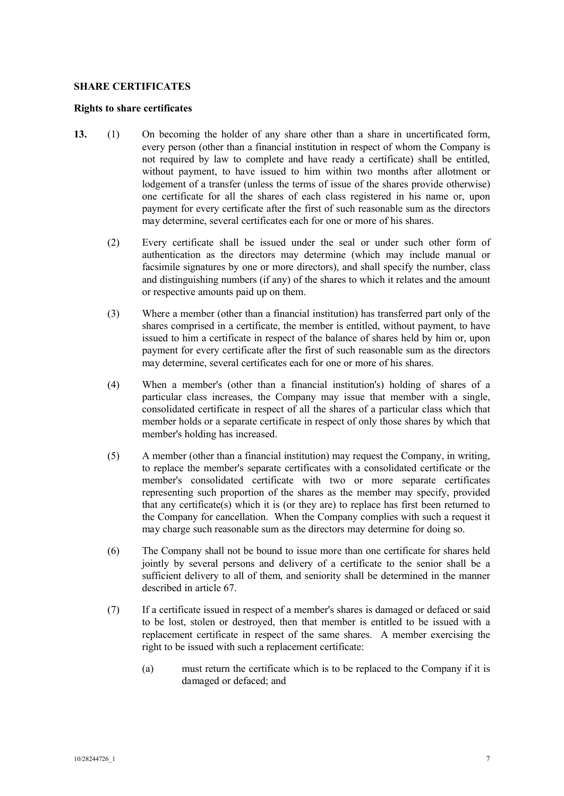## **SHARE CERTIFICATES**

#### **Rights to share certificates**

- **13.** (1) On becoming the holder of any share other than a share in uncertificated form, every person (other than a financial institution in respect of whom the Company is not required by law to complete and have ready a certificate) shall be entitled, without payment, to have issued to him within two months after allotment or lodgement of a transfer (unless the terms of issue of the shares provide otherwise) one certificate for all the shares of each class registered in his name or, upon payment for every certificate after the first of such reasonable sum as the directors may determine, several certificates each for one or more of his shares.
	- (2) Every certificate shall be issued under the seal or under such other form of authentication as the directors may determine (which may include manual or facsimile signatures by one or more directors), and shall specify the number, class and distinguishing numbers (if any) of the shares to which it relates and the amount or respective amounts paid up on them.
	- (3) Where a member (other than a financial institution) has transferred part only of the shares comprised in a certificate, the member is entitled, without payment, to have issued to him a certificate in respect of the balance of shares held by him or, upon payment for every certificate after the first of such reasonable sum as the directors may determine, several certificates each for one or more of his shares.
	- (4) When a member's (other than a financial institution's) holding of shares of a particular class increases, the Company may issue that member with a single, consolidated certificate in respect of all the shares of a particular class which that member holds or a separate certificate in respect of only those shares by which that member's holding has increased.
	- (5) A member (other than a financial institution) may request the Company, in writing, to replace the member's separate certificates with a consolidated certificate or the member's consolidated certificate with two or more separate certificates representing such proportion of the shares as the member may specify, provided that any certificate(s) which it is (or they are) to replace has first been returned to the Company for cancellation. When the Company complies with such a request it may charge such reasonable sum as the directors may determine for doing so.
	- (6) The Company shall not be bound to issue more than one certificate for shares held jointly by several persons and delivery of a certificate to the senior shall be a sufficient delivery to all of them, and seniority shall be determined in the manner described in article 67.
	- (7) If a certificate issued in respect of a member's shares is damaged or defaced or said to be lost, stolen or destroyed, then that member is entitled to be issued with a replacement certificate in respect of the same shares. A member exercising the right to be issued with such a replacement certificate:
		- (a) must return the certificate which is to be replaced to the Company if it is damaged or defaced; and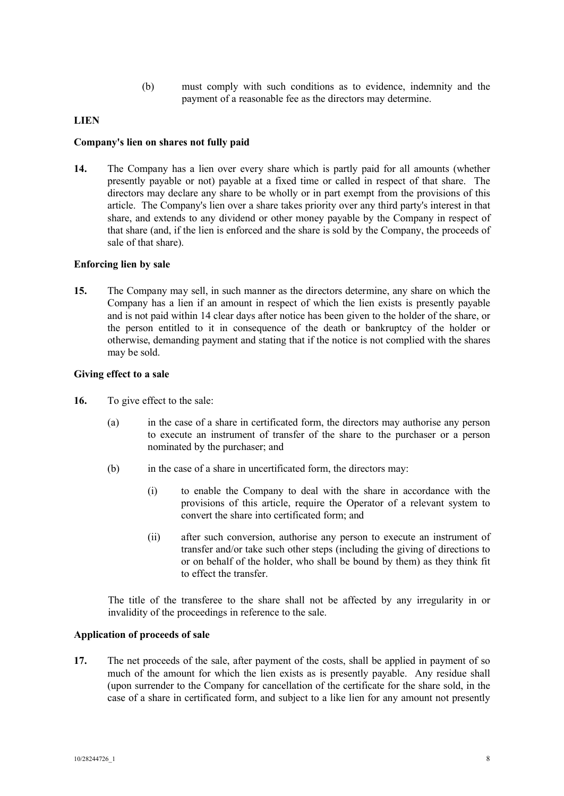(b) must comply with such conditions as to evidence, indemnity and the payment of a reasonable fee as the directors may determine.

# **LIEN**

## **Company's lien on shares not fully paid**

**14.** The Company has a lien over every share which is partly paid for all amounts (whether presently payable or not) payable at a fixed time or called in respect of that share. The directors may declare any share to be wholly or in part exempt from the provisions of this article. The Company's lien over a share takes priority over any third party's interest in that share, and extends to any dividend or other money payable by the Company in respect of that share (and, if the lien is enforced and the share is sold by the Company, the proceeds of sale of that share).

## **Enforcing lien by sale**

**15.** The Company may sell, in such manner as the directors determine, any share on which the Company has a lien if an amount in respect of which the lien exists is presently payable and is not paid within 14 clear days after notice has been given to the holder of the share, or the person entitled to it in consequence of the death or bankruptcy of the holder or otherwise, demanding payment and stating that if the notice is not complied with the shares may be sold.

## **Giving effect to a sale**

- **16.** To give effect to the sale:
	- (a) in the case of a share in certificated form, the directors may authorise any person to execute an instrument of transfer of the share to the purchaser or a person nominated by the purchaser; and
	- (b) in the case of a share in uncertificated form, the directors may:
		- (i) to enable the Company to deal with the share in accordance with the provisions of this article, require the Operator of a relevant system to convert the share into certificated form; and
		- (ii) after such conversion, authorise any person to execute an instrument of transfer and/or take such other steps (including the giving of directions to or on behalf of the holder, who shall be bound by them) as they think fit to effect the transfer.

The title of the transferee to the share shall not be affected by any irregularity in or invalidity of the proceedings in reference to the sale.

#### **Application of proceeds of sale**

**17.** The net proceeds of the sale, after payment of the costs, shall be applied in payment of so much of the amount for which the lien exists as is presently payable. Any residue shall (upon surrender to the Company for cancellation of the certificate for the share sold, in the case of a share in certificated form, and subject to a like lien for any amount not presently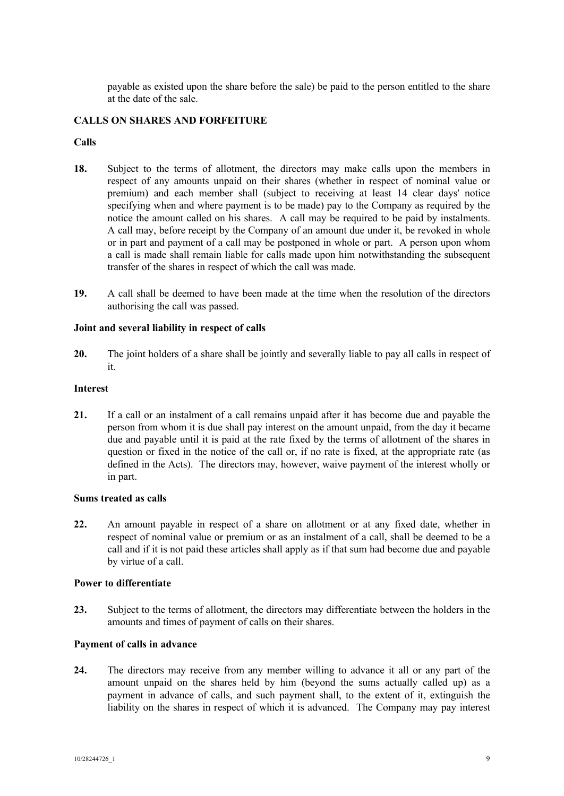payable as existed upon the share before the sale) be paid to the person entitled to the share at the date of the sale.

# **CALLS ON SHARES AND FORFEITURE**

# **Calls**

- **18.** Subject to the terms of allotment, the directors may make calls upon the members in respect of any amounts unpaid on their shares (whether in respect of nominal value or premium) and each member shall (subject to receiving at least 14 clear days' notice specifying when and where payment is to be made) pay to the Company as required by the notice the amount called on his shares. A call may be required to be paid by instalments. A call may, before receipt by the Company of an amount due under it, be revoked in whole or in part and payment of a call may be postponed in whole or part. A person upon whom a call is made shall remain liable for calls made upon him notwithstanding the subsequent transfer of the shares in respect of which the call was made.
- **19.** A call shall be deemed to have been made at the time when the resolution of the directors authorising the call was passed.

# **Joint and several liability in respect of calls**

**20.** The joint holders of a share shall be jointly and severally liable to pay all calls in respect of it.

# **Interest**

**21.** If a call or an instalment of a call remains unpaid after it has become due and payable the person from whom it is due shall pay interest on the amount unpaid, from the day it became due and payable until it is paid at the rate fixed by the terms of allotment of the shares in question or fixed in the notice of the call or, if no rate is fixed, at the appropriate rate (as defined in the Acts). The directors may, however, waive payment of the interest wholly or in part.

# **Sums treated as calls**

**22.** An amount payable in respect of a share on allotment or at any fixed date, whether in respect of nominal value or premium or as an instalment of a call, shall be deemed to be a call and if it is not paid these articles shall apply as if that sum had become due and payable by virtue of a call.

# **Power to differentiate**

**23.** Subject to the terms of allotment, the directors may differentiate between the holders in the amounts and times of payment of calls on their shares.

# **Payment of calls in advance**

**24.** The directors may receive from any member willing to advance it all or any part of the amount unpaid on the shares held by him (beyond the sums actually called up) as a payment in advance of calls, and such payment shall, to the extent of it, extinguish the liability on the shares in respect of which it is advanced. The Company may pay interest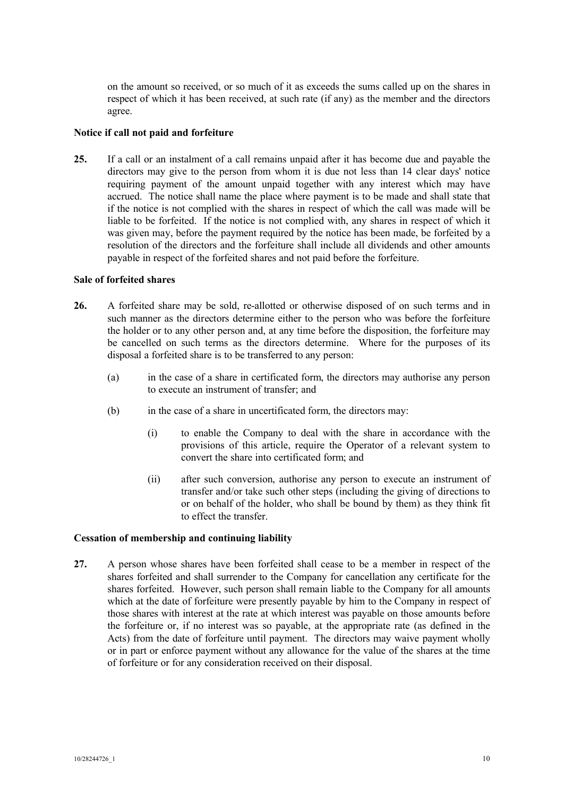on the amount so received, or so much of it as exceeds the sums called up on the shares in respect of which it has been received, at such rate (if any) as the member and the directors agree.

## **Notice if call not paid and forfeiture**

**25.** If a call or an instalment of a call remains unpaid after it has become due and payable the directors may give to the person from whom it is due not less than 14 clear days' notice requiring payment of the amount unpaid together with any interest which may have accrued. The notice shall name the place where payment is to be made and shall state that if the notice is not complied with the shares in respect of which the call was made will be liable to be forfeited. If the notice is not complied with, any shares in respect of which it was given may, before the payment required by the notice has been made, be forfeited by a resolution of the directors and the forfeiture shall include all dividends and other amounts payable in respect of the forfeited shares and not paid before the forfeiture.

# **Sale of forfeited shares**

- **26.** A forfeited share may be sold, re-allotted or otherwise disposed of on such terms and in such manner as the directors determine either to the person who was before the forfeiture the holder or to any other person and, at any time before the disposition, the forfeiture may be cancelled on such terms as the directors determine. Where for the purposes of its disposal a forfeited share is to be transferred to any person:
	- (a) in the case of a share in certificated form, the directors may authorise any person to execute an instrument of transfer; and
	- (b) in the case of a share in uncertificated form, the directors may:
		- (i) to enable the Company to deal with the share in accordance with the provisions of this article, require the Operator of a relevant system to convert the share into certificated form; and
		- (ii) after such conversion, authorise any person to execute an instrument of transfer and/or take such other steps (including the giving of directions to or on behalf of the holder, who shall be bound by them) as they think fit to effect the transfer.

# **Cessation of membership and continuing liability**

**27.** A person whose shares have been forfeited shall cease to be a member in respect of the shares forfeited and shall surrender to the Company for cancellation any certificate for the shares forfeited. However, such person shall remain liable to the Company for all amounts which at the date of forfeiture were presently payable by him to the Company in respect of those shares with interest at the rate at which interest was payable on those amounts before the forfeiture or, if no interest was so payable, at the appropriate rate (as defined in the Acts) from the date of forfeiture until payment. The directors may waive payment wholly or in part or enforce payment without any allowance for the value of the shares at the time of forfeiture or for any consideration received on their disposal.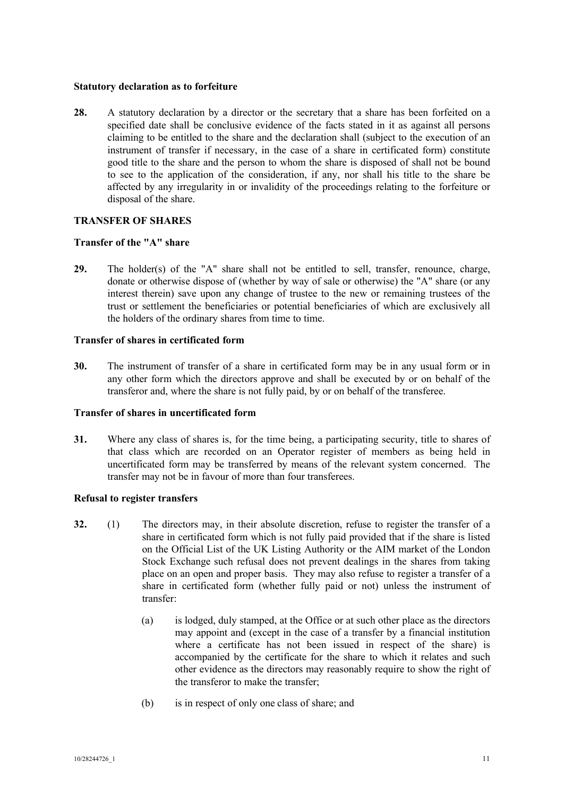## **Statutory declaration as to forfeiture**

**28.** A statutory declaration by a director or the secretary that a share has been forfeited on a specified date shall be conclusive evidence of the facts stated in it as against all persons claiming to be entitled to the share and the declaration shall (subject to the execution of an instrument of transfer if necessary, in the case of a share in certificated form) constitute good title to the share and the person to whom the share is disposed of shall not be bound to see to the application of the consideration, if any, nor shall his title to the share be affected by any irregularity in or invalidity of the proceedings relating to the forfeiture or disposal of the share.

# **TRANSFER OF SHARES**

# **Transfer of the "A" share**

**29.** The holder(s) of the "A" share shall not be entitled to sell, transfer, renounce, charge, donate or otherwise dispose of (whether by way of sale or otherwise) the "A" share (or any interest therein) save upon any change of trustee to the new or remaining trustees of the trust or settlement the beneficiaries or potential beneficiaries of which are exclusively all the holders of the ordinary shares from time to time.

# **Transfer of shares in certificated form**

**30.** The instrument of transfer of a share in certificated form may be in any usual form or in any other form which the directors approve and shall be executed by or on behalf of the transferor and, where the share is not fully paid, by or on behalf of the transferee.

# **Transfer of shares in uncertificated form**

**31.** Where any class of shares is, for the time being, a participating security, title to shares of that class which are recorded on an Operator register of members as being held in uncertificated form may be transferred by means of the relevant system concerned. The transfer may not be in favour of more than four transferees.

# **Refusal to register transfers**

- **32.** (1) The directors may, in their absolute discretion, refuse to register the transfer of a share in certificated form which is not fully paid provided that if the share is listed on the Official List of the UK Listing Authority or the AIM market of the London Stock Exchange such refusal does not prevent dealings in the shares from taking place on an open and proper basis. They may also refuse to register a transfer of a share in certificated form (whether fully paid or not) unless the instrument of transfer:
	- (a) is lodged, duly stamped, at the Office or at such other place as the directors may appoint and (except in the case of a transfer by a financial institution where a certificate has not been issued in respect of the share) is accompanied by the certificate for the share to which it relates and such other evidence as the directors may reasonably require to show the right of the transferor to make the transfer;
	- (b) is in respect of only one class of share; and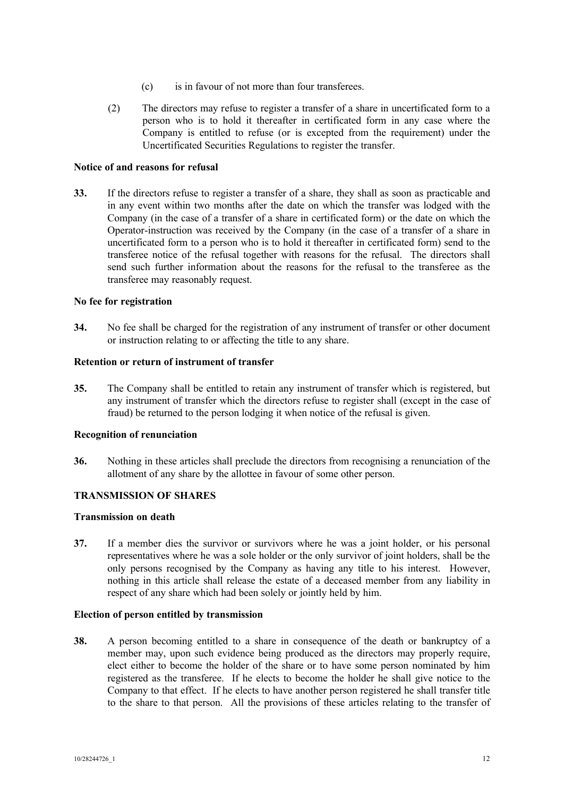- (c) is in favour of not more than four transferees.
- (2) The directors may refuse to register a transfer of a share in uncertificated form to a person who is to hold it thereafter in certificated form in any case where the Company is entitled to refuse (or is excepted from the requirement) under the Uncertificated Securities Regulations to register the transfer.

## **Notice of and reasons for refusal**

**33.** If the directors refuse to register a transfer of a share, they shall as soon as practicable and in any event within two months after the date on which the transfer was lodged with the Company (in the case of a transfer of a share in certificated form) or the date on which the Operator-instruction was received by the Company (in the case of a transfer of a share in uncertificated form to a person who is to hold it thereafter in certificated form) send to the transferee notice of the refusal together with reasons for the refusal. The directors shall send such further information about the reasons for the refusal to the transferee as the transferee may reasonably request.

# **No fee for registration**

**34.** No fee shall be charged for the registration of any instrument of transfer or other document or instruction relating to or affecting the title to any share.

# **Retention or return of instrument of transfer**

**35.** The Company shall be entitled to retain any instrument of transfer which is registered, but any instrument of transfer which the directors refuse to register shall (except in the case of fraud) be returned to the person lodging it when notice of the refusal is given.

#### **Recognition of renunciation**

**36.** Nothing in these articles shall preclude the directors from recognising a renunciation of the allotment of any share by the allottee in favour of some other person.

# **TRANSMISSION OF SHARES**

#### **Transmission on death**

**37.** If a member dies the survivor or survivors where he was a joint holder, or his personal representatives where he was a sole holder or the only survivor of joint holders, shall be the only persons recognised by the Company as having any title to his interest. However, nothing in this article shall release the estate of a deceased member from any liability in respect of any share which had been solely or jointly held by him.

#### **Election of person entitled by transmission**

**38.** A person becoming entitled to a share in consequence of the death or bankruptcy of a member may, upon such evidence being produced as the directors may properly require, elect either to become the holder of the share or to have some person nominated by him registered as the transferee. If he elects to become the holder he shall give notice to the Company to that effect. If he elects to have another person registered he shall transfer title to the share to that person. All the provisions of these articles relating to the transfer of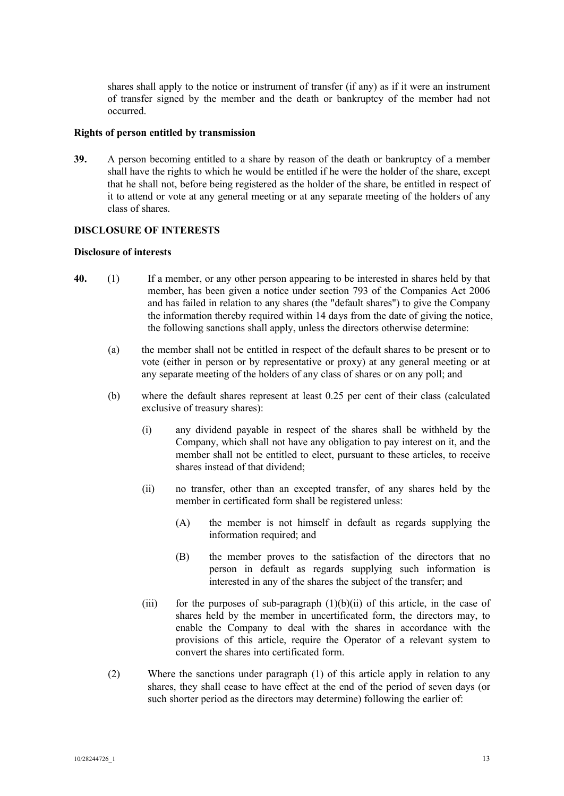shares shall apply to the notice or instrument of transfer (if any) as if it were an instrument of transfer signed by the member and the death or bankruptcy of the member had not occurred.

#### **Rights of person entitled by transmission**

**39.** A person becoming entitled to a share by reason of the death or bankruptcy of a member shall have the rights to which he would be entitled if he were the holder of the share, except that he shall not, before being registered as the holder of the share, be entitled in respect of it to attend or vote at any general meeting or at any separate meeting of the holders of any class of shares.

# **DISCLOSURE OF INTERESTS**

## **Disclosure of interests**

- **40.** (1) If a member, or any other person appearing to be interested in shares held by that member, has been given a notice under section 793 of the Companies Act 2006 and has failed in relation to any shares (the "default shares") to give the Company the information thereby required within 14 days from the date of giving the notice, the following sanctions shall apply, unless the directors otherwise determine:
	- (a) the member shall not be entitled in respect of the default shares to be present or to vote (either in person or by representative or proxy) at any general meeting or at any separate meeting of the holders of any class of shares or on any poll; and
	- (b) where the default shares represent at least 0.25 per cent of their class (calculated exclusive of treasury shares):
		- (i) any dividend payable in respect of the shares shall be withheld by the Company, which shall not have any obligation to pay interest on it, and the member shall not be entitled to elect, pursuant to these articles, to receive shares instead of that dividend;
		- (ii) no transfer, other than an excepted transfer, of any shares held by the member in certificated form shall be registered unless:
			- (A) the member is not himself in default as regards supplying the information required; and
			- (B) the member proves to the satisfaction of the directors that no person in default as regards supplying such information is interested in any of the shares the subject of the transfer; and
		- (iii) for the purposes of sub-paragraph  $(1)(b)(ii)$  of this article, in the case of shares held by the member in uncertificated form, the directors may, to enable the Company to deal with the shares in accordance with the provisions of this article, require the Operator of a relevant system to convert the shares into certificated form.
	- (2) Where the sanctions under paragraph (1) of this article apply in relation to any shares, they shall cease to have effect at the end of the period of seven days (or such shorter period as the directors may determine) following the earlier of: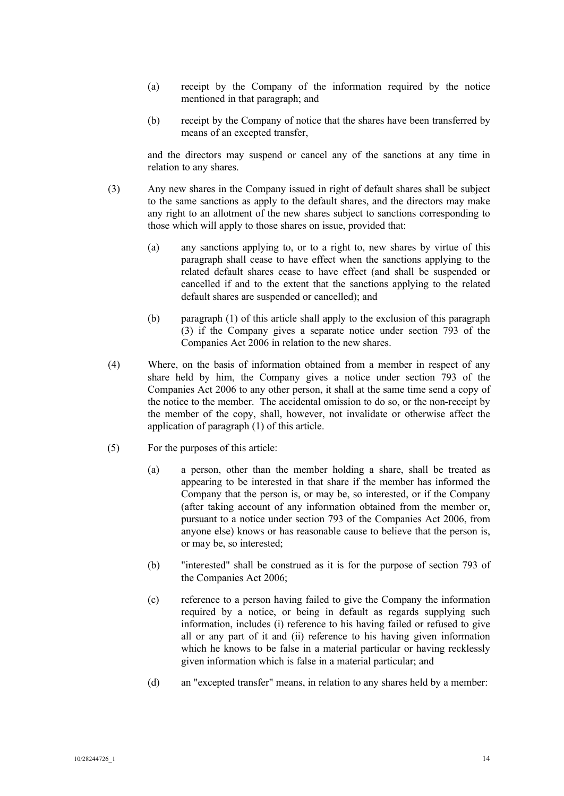- (a) receipt by the Company of the information required by the notice mentioned in that paragraph; and
- (b) receipt by the Company of notice that the shares have been transferred by means of an excepted transfer,

and the directors may suspend or cancel any of the sanctions at any time in relation to any shares.

- (3) Any new shares in the Company issued in right of default shares shall be subject to the same sanctions as apply to the default shares, and the directors may make any right to an allotment of the new shares subject to sanctions corresponding to those which will apply to those shares on issue, provided that:
	- (a) any sanctions applying to, or to a right to, new shares by virtue of this paragraph shall cease to have effect when the sanctions applying to the related default shares cease to have effect (and shall be suspended or cancelled if and to the extent that the sanctions applying to the related default shares are suspended or cancelled); and
	- (b) paragraph (1) of this article shall apply to the exclusion of this paragraph (3) if the Company gives a separate notice under section 793 of the Companies Act 2006 in relation to the new shares.
- (4) Where, on the basis of information obtained from a member in respect of any share held by him, the Company gives a notice under section 793 of the Companies Act 2006 to any other person, it shall at the same time send a copy of the notice to the member. The accidental omission to do so, or the non-receipt by the member of the copy, shall, however, not invalidate or otherwise affect the application of paragraph (1) of this article.
- (5) For the purposes of this article:
	- (a) a person, other than the member holding a share, shall be treated as appearing to be interested in that share if the member has informed the Company that the person is, or may be, so interested, or if the Company (after taking account of any information obtained from the member or, pursuant to a notice under section 793 of the Companies Act 2006, from anyone else) knows or has reasonable cause to believe that the person is, or may be, so interested;
	- (b) "interested" shall be construed as it is for the purpose of section 793 of the Companies Act 2006;
	- (c) reference to a person having failed to give the Company the information required by a notice, or being in default as regards supplying such information, includes (i) reference to his having failed or refused to give all or any part of it and (ii) reference to his having given information which he knows to be false in a material particular or having recklessly given information which is false in a material particular; and
	- (d) an "excepted transfer" means, in relation to any shares held by a member: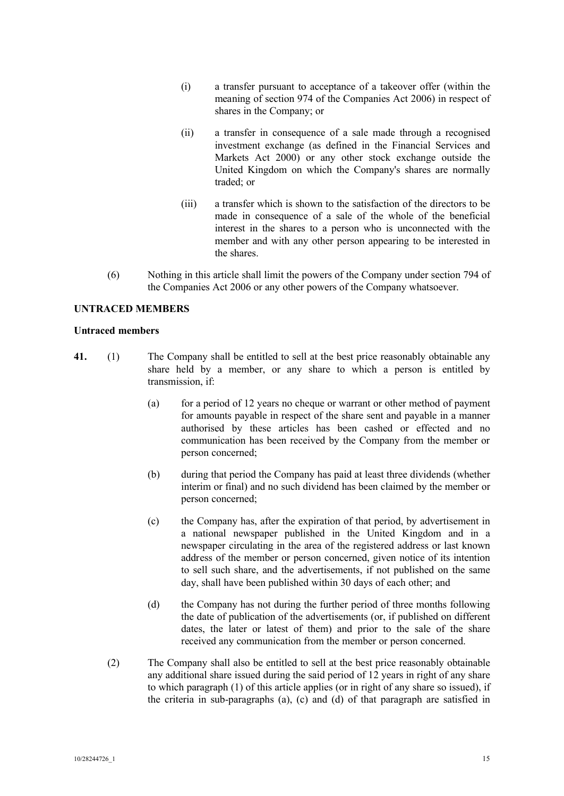- (i) a transfer pursuant to acceptance of a takeover offer (within the meaning of section 974 of the Companies Act 2006) in respect of shares in the Company; or
- (ii) a transfer in consequence of a sale made through a recognised investment exchange (as defined in the Financial Services and Markets Act 2000) or any other stock exchange outside the United Kingdom on which the Company's shares are normally traded; or
- (iii) a transfer which is shown to the satisfaction of the directors to be made in consequence of a sale of the whole of the beneficial interest in the shares to a person who is unconnected with the member and with any other person appearing to be interested in the shares.
- (6) Nothing in this article shall limit the powers of the Company under section 794 of the Companies Act 2006 or any other powers of the Company whatsoever.

# **UNTRACED MEMBERS**

# **Untraced members**

- **41.** (1) The Company shall be entitled to sell at the best price reasonably obtainable any share held by a member, or any share to which a person is entitled by transmission, if:
	- (a) for a period of 12 years no cheque or warrant or other method of payment for amounts payable in respect of the share sent and payable in a manner authorised by these articles has been cashed or effected and no communication has been received by the Company from the member or person concerned;
	- (b) during that period the Company has paid at least three dividends (whether interim or final) and no such dividend has been claimed by the member or person concerned;
	- (c) the Company has, after the expiration of that period, by advertisement in a national newspaper published in the United Kingdom and in a newspaper circulating in the area of the registered address or last known address of the member or person concerned, given notice of its intention to sell such share, and the advertisements, if not published on the same day, shall have been published within 30 days of each other; and
	- (d) the Company has not during the further period of three months following the date of publication of the advertisements (or, if published on different dates, the later or latest of them) and prior to the sale of the share received any communication from the member or person concerned.
	- (2) The Company shall also be entitled to sell at the best price reasonably obtainable any additional share issued during the said period of 12 years in right of any share to which paragraph (1) of this article applies (or in right of any share so issued), if the criteria in sub-paragraphs (a), (c) and (d) of that paragraph are satisfied in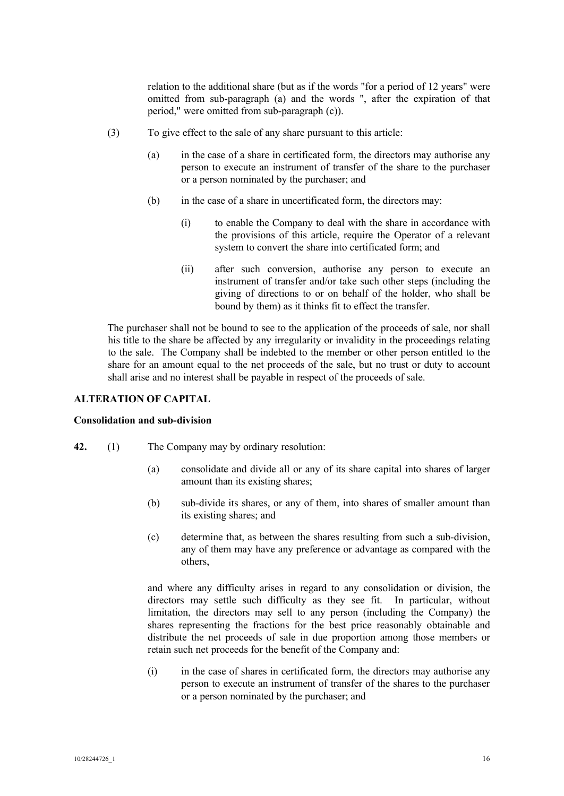relation to the additional share (but as if the words "for a period of 12 years" were omitted from sub-paragraph (a) and the words ", after the expiration of that period," were omitted from sub-paragraph (c)).

- (3) To give effect to the sale of any share pursuant to this article:
	- (a) in the case of a share in certificated form, the directors may authorise any person to execute an instrument of transfer of the share to the purchaser or a person nominated by the purchaser; and
	- (b) in the case of a share in uncertificated form, the directors may:
		- (i) to enable the Company to deal with the share in accordance with the provisions of this article, require the Operator of a relevant system to convert the share into certificated form; and
		- (ii) after such conversion, authorise any person to execute an instrument of transfer and/or take such other steps (including the giving of directions to or on behalf of the holder, who shall be bound by them) as it thinks fit to effect the transfer.

The purchaser shall not be bound to see to the application of the proceeds of sale, nor shall his title to the share be affected by any irregularity or invalidity in the proceedings relating to the sale. The Company shall be indebted to the member or other person entitled to the share for an amount equal to the net proceeds of the sale, but no trust or duty to account shall arise and no interest shall be payable in respect of the proceeds of sale.

## **ALTERATION OF CAPITAL**

#### **Consolidation and sub-division**

- **42.** (1) The Company may by ordinary resolution:
	- (a) consolidate and divide all or any of its share capital into shares of larger amount than its existing shares;
	- (b) sub-divide its shares, or any of them, into shares of smaller amount than its existing shares; and
	- (c) determine that, as between the shares resulting from such a sub-division, any of them may have any preference or advantage as compared with the others,

and where any difficulty arises in regard to any consolidation or division, the directors may settle such difficulty as they see fit. In particular, without limitation, the directors may sell to any person (including the Company) the shares representing the fractions for the best price reasonably obtainable and distribute the net proceeds of sale in due proportion among those members or retain such net proceeds for the benefit of the Company and:

(i) in the case of shares in certificated form, the directors may authorise any person to execute an instrument of transfer of the shares to the purchaser or a person nominated by the purchaser; and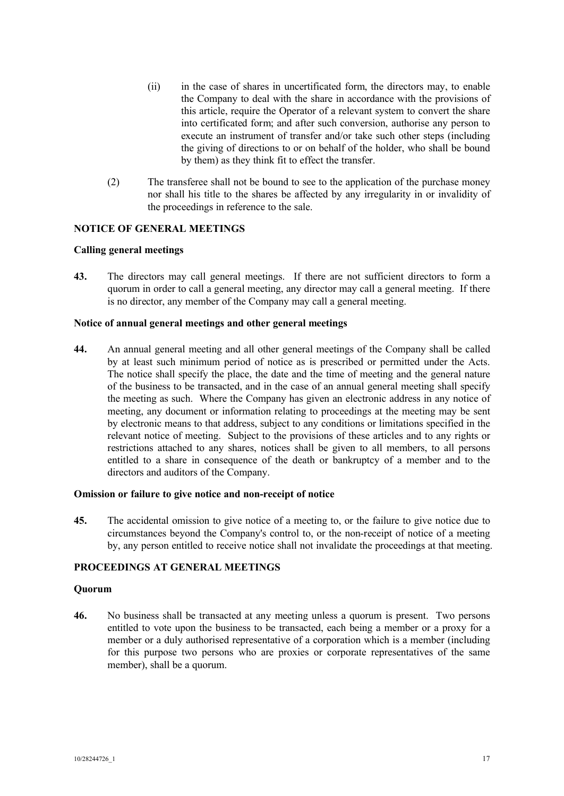- (ii) in the case of shares in uncertificated form, the directors may, to enable the Company to deal with the share in accordance with the provisions of this article, require the Operator of a relevant system to convert the share into certificated form; and after such conversion, authorise any person to execute an instrument of transfer and/or take such other steps (including the giving of directions to or on behalf of the holder, who shall be bound by them) as they think fit to effect the transfer.
- (2) The transferee shall not be bound to see to the application of the purchase money nor shall his title to the shares be affected by any irregularity in or invalidity of the proceedings in reference to the sale.

# **NOTICE OF GENERAL MEETINGS**

# **Calling general meetings**

**43.** The directors may call general meetings. If there are not sufficient directors to form a quorum in order to call a general meeting, any director may call a general meeting. If there is no director, any member of the Company may call a general meeting.

## **Notice of annual general meetings and other general meetings**

**44.** An annual general meeting and all other general meetings of the Company shall be called by at least such minimum period of notice as is prescribed or permitted under the Acts. The notice shall specify the place, the date and the time of meeting and the general nature of the business to be transacted, and in the case of an annual general meeting shall specify the meeting as such. Where the Company has given an electronic address in any notice of meeting, any document or information relating to proceedings at the meeting may be sent by electronic means to that address, subject to any conditions or limitations specified in the relevant notice of meeting. Subject to the provisions of these articles and to any rights or restrictions attached to any shares, notices shall be given to all members, to all persons entitled to a share in consequence of the death or bankruptcy of a member and to the directors and auditors of the Company.

## **Omission or failure to give notice and non-receipt of notice**

**45.** The accidental omission to give notice of a meeting to, or the failure to give notice due to circumstances beyond the Company's control to, or the non-receipt of notice of a meeting by, any person entitled to receive notice shall not invalidate the proceedings at that meeting.

## **PROCEEDINGS AT GENERAL MEETINGS**

#### **Quorum**

**46.** No business shall be transacted at any meeting unless a quorum is present. Two persons entitled to vote upon the business to be transacted, each being a member or a proxy for a member or a duly authorised representative of a corporation which is a member (including for this purpose two persons who are proxies or corporate representatives of the same member), shall be a quorum.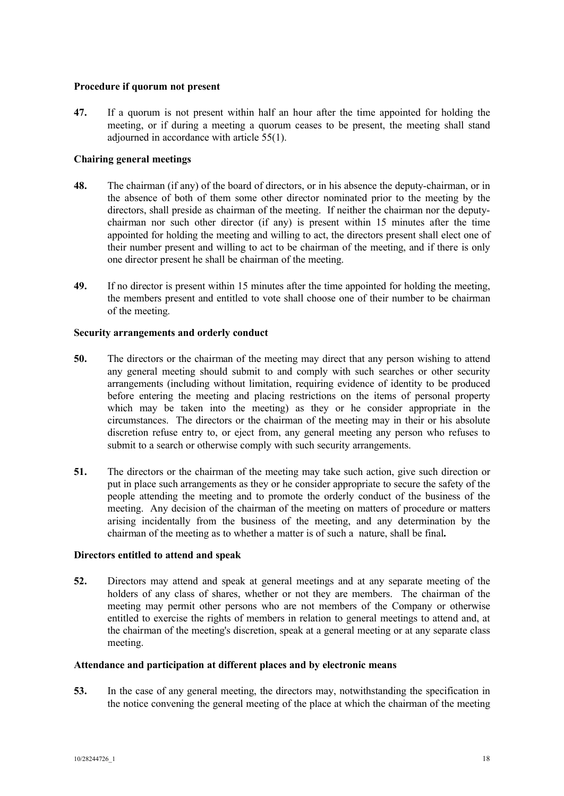## **Procedure if quorum not present**

**47.** If a quorum is not present within half an hour after the time appointed for holding the meeting, or if during a meeting a quorum ceases to be present, the meeting shall stand adjourned in accordance with article 55(1).

# **Chairing general meetings**

- **48.** The chairman (if any) of the board of directors, or in his absence the deputy-chairman, or in the absence of both of them some other director nominated prior to the meeting by the directors, shall preside as chairman of the meeting. If neither the chairman nor the deputychairman nor such other director (if any) is present within 15 minutes after the time appointed for holding the meeting and willing to act, the directors present shall elect one of their number present and willing to act to be chairman of the meeting, and if there is only one director present he shall be chairman of the meeting.
- **49.** If no director is present within 15 minutes after the time appointed for holding the meeting, the members present and entitled to vote shall choose one of their number to be chairman of the meeting.

# **Security arrangements and orderly conduct**

- **50.** The directors or the chairman of the meeting may direct that any person wishing to attend any general meeting should submit to and comply with such searches or other security arrangements (including without limitation, requiring evidence of identity to be produced before entering the meeting and placing restrictions on the items of personal property which may be taken into the meeting) as they or he consider appropriate in the circumstances. The directors or the chairman of the meeting may in their or his absolute discretion refuse entry to, or eject from, any general meeting any person who refuses to submit to a search or otherwise comply with such security arrangements.
- **51.** The directors or the chairman of the meeting may take such action, give such direction or put in place such arrangements as they or he consider appropriate to secure the safety of the people attending the meeting and to promote the orderly conduct of the business of the meeting. Any decision of the chairman of the meeting on matters of procedure or matters arising incidentally from the business of the meeting, and any determination by the chairman of the meeting as to whether a matter is of such a nature, shall be final**.**

# **Directors entitled to attend and speak**

**52.** Directors may attend and speak at general meetings and at any separate meeting of the holders of any class of shares, whether or not they are members. The chairman of the meeting may permit other persons who are not members of the Company or otherwise entitled to exercise the rights of members in relation to general meetings to attend and, at the chairman of the meeting's discretion, speak at a general meeting or at any separate class meeting.

## **Attendance and participation at different places and by electronic means**

**53.** In the case of any general meeting, the directors may, notwithstanding the specification in the notice convening the general meeting of the place at which the chairman of the meeting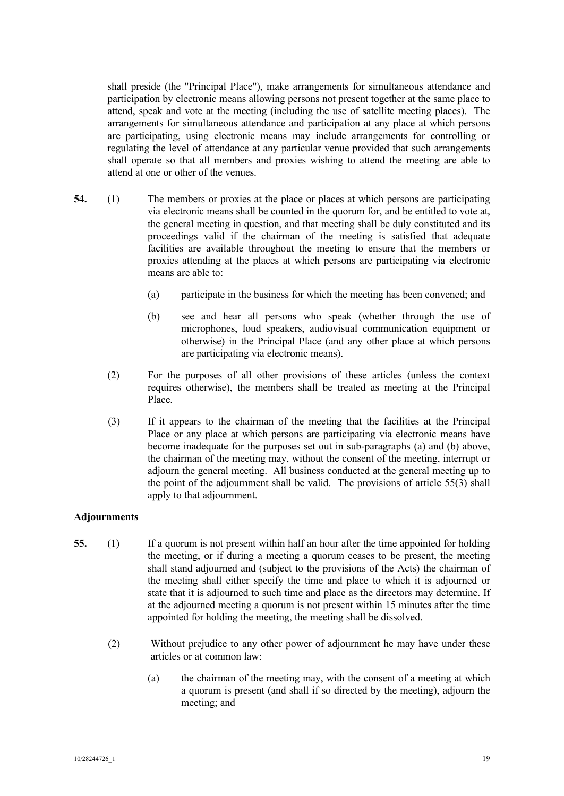shall preside (the "Principal Place"), make arrangements for simultaneous attendance and participation by electronic means allowing persons not present together at the same place to attend, speak and vote at the meeting (including the use of satellite meeting places). The arrangements for simultaneous attendance and participation at any place at which persons are participating, using electronic means may include arrangements for controlling or regulating the level of attendance at any particular venue provided that such arrangements shall operate so that all members and proxies wishing to attend the meeting are able to attend at one or other of the venues.

- **54.** (1) The members or proxies at the place or places at which persons are participating via electronic means shall be counted in the quorum for, and be entitled to vote at, the general meeting in question, and that meeting shall be duly constituted and its proceedings valid if the chairman of the meeting is satisfied that adequate facilities are available throughout the meeting to ensure that the members or proxies attending at the places at which persons are participating via electronic means are able to:
	- (a) participate in the business for which the meeting has been convened; and
	- (b) see and hear all persons who speak (whether through the use of microphones, loud speakers, audiovisual communication equipment or otherwise) in the Principal Place (and any other place at which persons are participating via electronic means).
	- (2) For the purposes of all other provisions of these articles (unless the context requires otherwise), the members shall be treated as meeting at the Principal Place.
	- (3) If it appears to the chairman of the meeting that the facilities at the Principal Place or any place at which persons are participating via electronic means have become inadequate for the purposes set out in sub-paragraphs (a) and (b) above, the chairman of the meeting may, without the consent of the meeting, interrupt or adjourn the general meeting. All business conducted at the general meeting up to the point of the adjournment shall be valid. The provisions of article 55(3) shall apply to that adjournment.

# **Adjournments**

- **55.** (1) If a quorum is not present within half an hour after the time appointed for holding the meeting, or if during a meeting a quorum ceases to be present, the meeting shall stand adjourned and (subject to the provisions of the Acts) the chairman of the meeting shall either specify the time and place to which it is adjourned or state that it is adjourned to such time and place as the directors may determine. If at the adjourned meeting a quorum is not present within 15 minutes after the time appointed for holding the meeting, the meeting shall be dissolved.
	- (2) Without prejudice to any other power of adjournment he may have under these articles or at common law:
		- (a) the chairman of the meeting may, with the consent of a meeting at which a quorum is present (and shall if so directed by the meeting), adjourn the meeting; and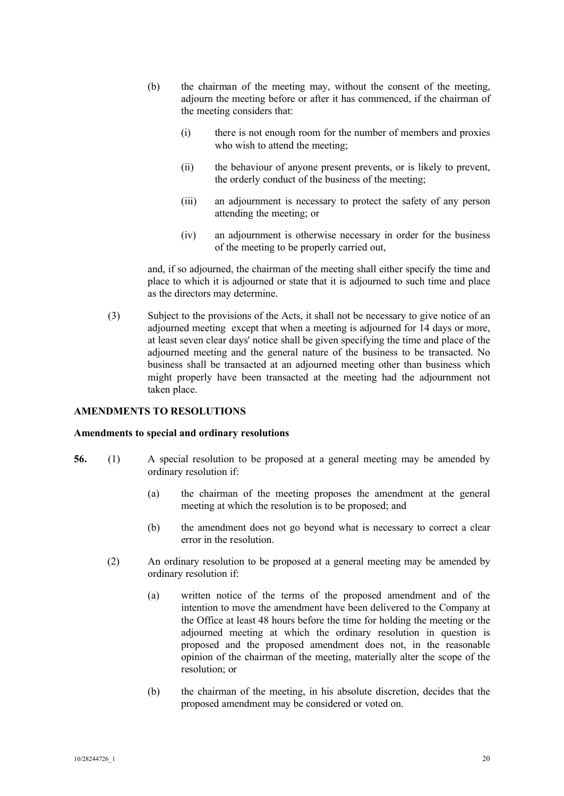- (b) the chairman of the meeting may, without the consent of the meeting, adjourn the meeting before or after it has commenced, if the chairman of the meeting considers that:
	- (i) there is not enough room for the number of members and proxies who wish to attend the meeting;
	- (ii) the behaviour of anyone present prevents, or is likely to prevent, the orderly conduct of the business of the meeting;
	- (iii) an adjournment is necessary to protect the safety of any person attending the meeting; or
	- (iv) an adjournment is otherwise necessary in order for the business of the meeting to be properly carried out,

and, if so adjourned, the chairman of the meeting shall either specify the time and place to which it is adjourned or state that it is adjourned to such time and place as the directors may determine.

(3) Subject to the provisions of the Acts, it shall not be necessary to give notice of an adjourned meeting except that when a meeting is adjourned for 14 days or more, at least seven clear days' notice shall be given specifying the time and place of the adjourned meeting and the general nature of the business to be transacted. No business shall be transacted at an adjourned meeting other than business which might properly have been transacted at the meeting had the adjournment not taken place.

# **AMENDMENTS TO RESOLUTIONS**

# **Amendments to special and ordinary resolutions**

- **56.** (1) A special resolution to be proposed at a general meeting may be amended by ordinary resolution if:
	- (a) the chairman of the meeting proposes the amendment at the general meeting at which the resolution is to be proposed; and
	- (b) the amendment does not go beyond what is necessary to correct a clear error in the resolution.
	- (2) An ordinary resolution to be proposed at a general meeting may be amended by ordinary resolution if:
		- (a) written notice of the terms of the proposed amendment and of the intention to move the amendment have been delivered to the Company at the Office at least 48 hours before the time for holding the meeting or the adjourned meeting at which the ordinary resolution in question is proposed and the proposed amendment does not, in the reasonable opinion of the chairman of the meeting, materially alter the scope of the resolution; or
		- (b) the chairman of the meeting, in his absolute discretion, decides that the proposed amendment may be considered or voted on.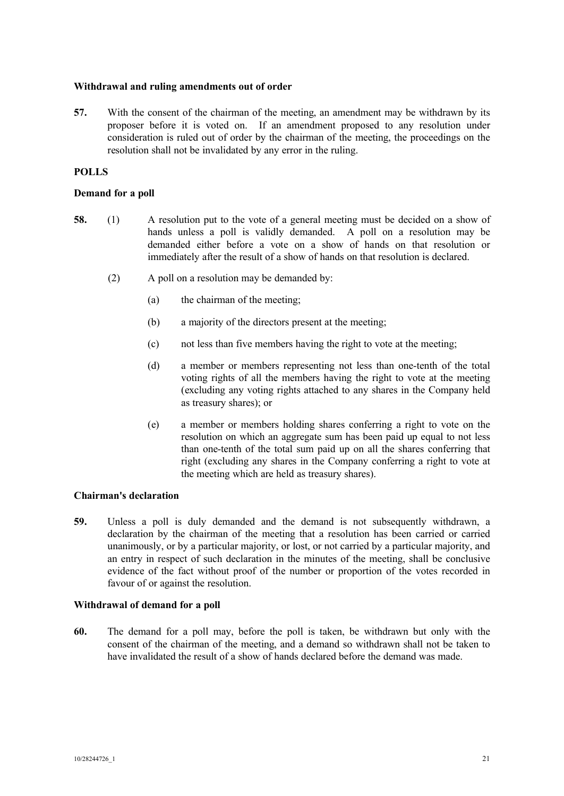## **Withdrawal and ruling amendments out of order**

**57.** With the consent of the chairman of the meeting, an amendment may be withdrawn by its proposer before it is voted on. If an amendment proposed to any resolution under consideration is ruled out of order by the chairman of the meeting, the proceedings on the resolution shall not be invalidated by any error in the ruling.

# **POLLS**

# **Demand for a poll**

- **58.** (1) A resolution put to the vote of a general meeting must be decided on a show of hands unless a poll is validly demanded. A poll on a resolution may be demanded either before a vote on a show of hands on that resolution or immediately after the result of a show of hands on that resolution is declared.
	- (2) A poll on a resolution may be demanded by:
		- (a) the chairman of the meeting;
		- (b) a majority of the directors present at the meeting;
		- (c) not less than five members having the right to vote at the meeting;
		- (d) a member or members representing not less than one-tenth of the total voting rights of all the members having the right to vote at the meeting (excluding any voting rights attached to any shares in the Company held as treasury shares); or
		- (e) a member or members holding shares conferring a right to vote on the resolution on which an aggregate sum has been paid up equal to not less than one-tenth of the total sum paid up on all the shares conferring that right (excluding any shares in the Company conferring a right to vote at the meeting which are held as treasury shares).

# **Chairman's declaration**

**59.** Unless a poll is duly demanded and the demand is not subsequently withdrawn, a declaration by the chairman of the meeting that a resolution has been carried or carried unanimously, or by a particular majority, or lost, or not carried by a particular majority, and an entry in respect of such declaration in the minutes of the meeting, shall be conclusive evidence of the fact without proof of the number or proportion of the votes recorded in favour of or against the resolution.

# **Withdrawal of demand for a poll**

**60.** The demand for a poll may, before the poll is taken, be withdrawn but only with the consent of the chairman of the meeting, and a demand so withdrawn shall not be taken to have invalidated the result of a show of hands declared before the demand was made.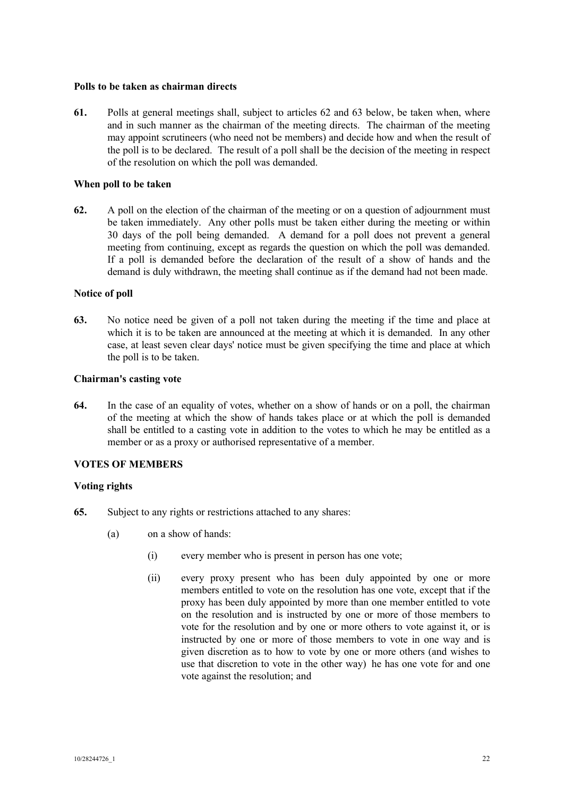## **Polls to be taken as chairman directs**

**61.** Polls at general meetings shall, subject to articles 62 and 63 below, be taken when, where and in such manner as the chairman of the meeting directs. The chairman of the meeting may appoint scrutineers (who need not be members) and decide how and when the result of the poll is to be declared. The result of a poll shall be the decision of the meeting in respect of the resolution on which the poll was demanded.

## **When poll to be taken**

**62.** A poll on the election of the chairman of the meeting or on a question of adjournment must be taken immediately. Any other polls must be taken either during the meeting or within 30 days of the poll being demanded. A demand for a poll does not prevent a general meeting from continuing, except as regards the question on which the poll was demanded. If a poll is demanded before the declaration of the result of a show of hands and the demand is duly withdrawn, the meeting shall continue as if the demand had not been made.

## **Notice of poll**

**63.** No notice need be given of a poll not taken during the meeting if the time and place at which it is to be taken are announced at the meeting at which it is demanded. In any other case, at least seven clear days' notice must be given specifying the time and place at which the poll is to be taken.

## **Chairman's casting vote**

**64.** In the case of an equality of votes, whether on a show of hands or on a poll, the chairman of the meeting at which the show of hands takes place or at which the poll is demanded shall be entitled to a casting vote in addition to the votes to which he may be entitled as a member or as a proxy or authorised representative of a member.

# **VOTES OF MEMBERS**

# **Voting rights**

- **65.** Subject to any rights or restrictions attached to any shares:
	- (a) on a show of hands:
		- (i) every member who is present in person has one vote;
		- (ii) every proxy present who has been duly appointed by one or more members entitled to vote on the resolution has one vote, except that if the proxy has been duly appointed by more than one member entitled to vote on the resolution and is instructed by one or more of those members to vote for the resolution and by one or more others to vote against it, or is instructed by one or more of those members to vote in one way and is given discretion as to how to vote by one or more others (and wishes to use that discretion to vote in the other way) he has one vote for and one vote against the resolution; and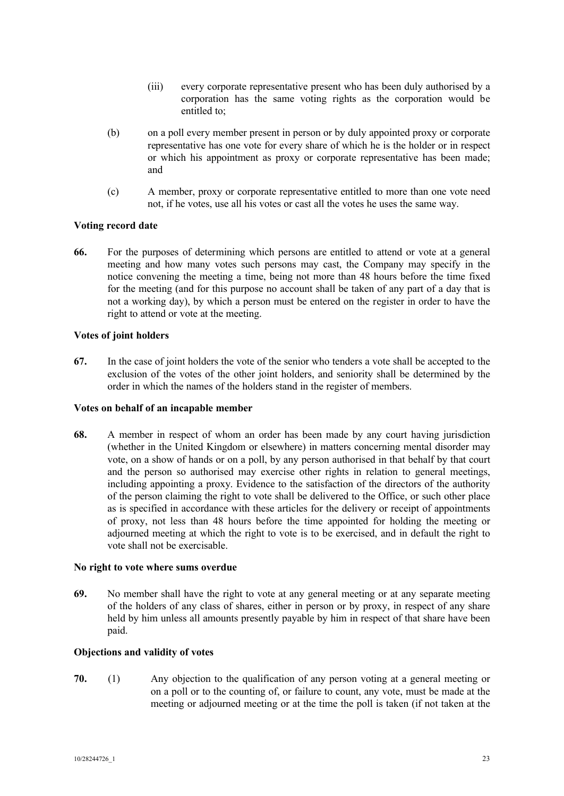- (iii) every corporate representative present who has been duly authorised by a corporation has the same voting rights as the corporation would be entitled to;
- (b) on a poll every member present in person or by duly appointed proxy or corporate representative has one vote for every share of which he is the holder or in respect or which his appointment as proxy or corporate representative has been made; and
- (c) A member, proxy or corporate representative entitled to more than one vote need not, if he votes, use all his votes or cast all the votes he uses the same way.

## **Voting record date**

**66.** For the purposes of determining which persons are entitled to attend or vote at a general meeting and how many votes such persons may cast, the Company may specify in the notice convening the meeting a time, being not more than 48 hours before the time fixed for the meeting (and for this purpose no account shall be taken of any part of a day that is not a working day), by which a person must be entered on the register in order to have the right to attend or vote at the meeting.

## **Votes of joint holders**

**67.** In the case of joint holders the vote of the senior who tenders a vote shall be accepted to the exclusion of the votes of the other joint holders, and seniority shall be determined by the order in which the names of the holders stand in the register of members.

#### **Votes on behalf of an incapable member**

**68.** A member in respect of whom an order has been made by any court having jurisdiction (whether in the United Kingdom or elsewhere) in matters concerning mental disorder may vote, on a show of hands or on a poll, by any person authorised in that behalf by that court and the person so authorised may exercise other rights in relation to general meetings, including appointing a proxy. Evidence to the satisfaction of the directors of the authority of the person claiming the right to vote shall be delivered to the Office, or such other place as is specified in accordance with these articles for the delivery or receipt of appointments of proxy, not less than 48 hours before the time appointed for holding the meeting or adjourned meeting at which the right to vote is to be exercised, and in default the right to vote shall not be exercisable.

#### **No right to vote where sums overdue**

**69.** No member shall have the right to vote at any general meeting or at any separate meeting of the holders of any class of shares, either in person or by proxy, in respect of any share held by him unless all amounts presently payable by him in respect of that share have been paid.

#### **Objections and validity of votes**

**70.** (1) Any objection to the qualification of any person voting at a general meeting or on a poll or to the counting of, or failure to count, any vote, must be made at the meeting or adjourned meeting or at the time the poll is taken (if not taken at the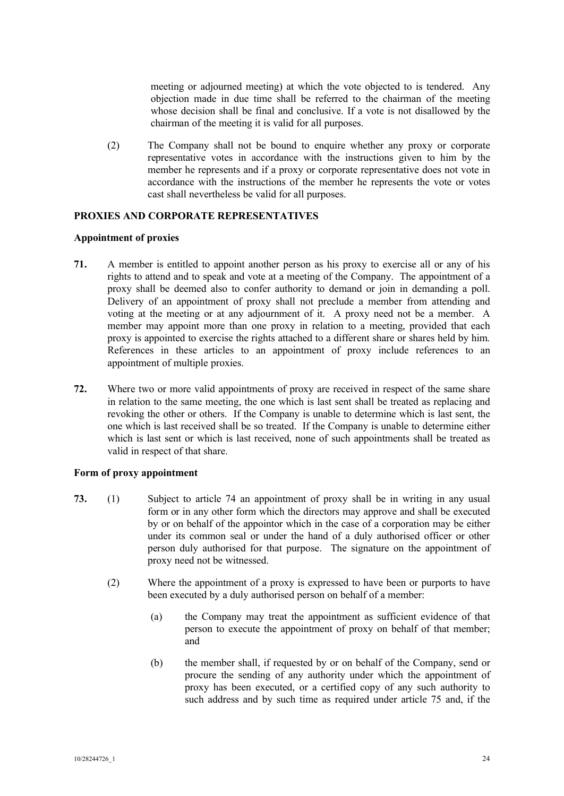meeting or adjourned meeting) at which the vote objected to is tendered. Any objection made in due time shall be referred to the chairman of the meeting whose decision shall be final and conclusive. If a vote is not disallowed by the chairman of the meeting it is valid for all purposes.

(2) The Company shall not be bound to enquire whether any proxy or corporate representative votes in accordance with the instructions given to him by the member he represents and if a proxy or corporate representative does not vote in accordance with the instructions of the member he represents the vote or votes cast shall nevertheless be valid for all purposes.

# **PROXIES AND CORPORATE REPRESENTATIVES**

## **Appointment of proxies**

- **71.** A member is entitled to appoint another person as his proxy to exercise all or any of his rights to attend and to speak and vote at a meeting of the Company. The appointment of a proxy shall be deemed also to confer authority to demand or join in demanding a poll. Delivery of an appointment of proxy shall not preclude a member from attending and voting at the meeting or at any adjournment of it. A proxy need not be a member. A member may appoint more than one proxy in relation to a meeting, provided that each proxy is appointed to exercise the rights attached to a different share or shares held by him. References in these articles to an appointment of proxy include references to an appointment of multiple proxies.
- **72.** Where two or more valid appointments of proxy are received in respect of the same share in relation to the same meeting, the one which is last sent shall be treated as replacing and revoking the other or others. If the Company is unable to determine which is last sent, the one which is last received shall be so treated. If the Company is unable to determine either which is last sent or which is last received, none of such appointments shall be treated as valid in respect of that share.

# **Form of proxy appointment**

- **73.** (1) Subject to article 74 an appointment of proxy shall be in writing in any usual form or in any other form which the directors may approve and shall be executed by or on behalf of the appointor which in the case of a corporation may be either under its common seal or under the hand of a duly authorised officer or other person duly authorised for that purpose. The signature on the appointment of proxy need not be witnessed.
	- (2) Where the appointment of a proxy is expressed to have been or purports to have been executed by a duly authorised person on behalf of a member:
		- (a) the Company may treat the appointment as sufficient evidence of that person to execute the appointment of proxy on behalf of that member; and
		- (b) the member shall, if requested by or on behalf of the Company, send or procure the sending of any authority under which the appointment of proxy has been executed, or a certified copy of any such authority to such address and by such time as required under article 75 and, if the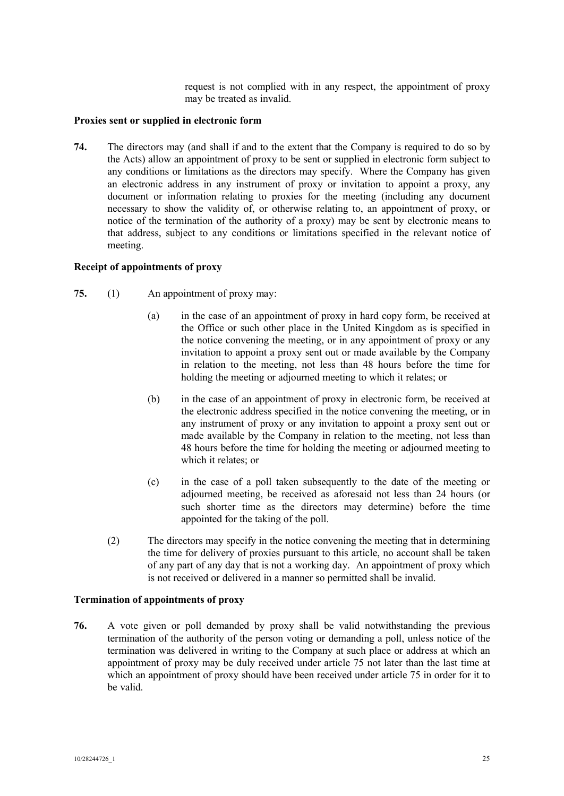request is not complied with in any respect, the appointment of proxy may be treated as invalid.

# **Proxies sent or supplied in electronic form**

**74.** The directors may (and shall if and to the extent that the Company is required to do so by the Acts) allow an appointment of proxy to be sent or supplied in electronic form subject to any conditions or limitations as the directors may specify. Where the Company has given an electronic address in any instrument of proxy or invitation to appoint a proxy, any document or information relating to proxies for the meeting (including any document necessary to show the validity of, or otherwise relating to, an appointment of proxy, or notice of the termination of the authority of a proxy) may be sent by electronic means to that address, subject to any conditions or limitations specified in the relevant notice of meeting.

## **Receipt of appointments of proxy**

- **75.** (1) An appointment of proxy may:
	- (a) in the case of an appointment of proxy in hard copy form, be received at the Office or such other place in the United Kingdom as is specified in the notice convening the meeting, or in any appointment of proxy or any invitation to appoint a proxy sent out or made available by the Company in relation to the meeting, not less than 48 hours before the time for holding the meeting or adjourned meeting to which it relates; or
	- (b) in the case of an appointment of proxy in electronic form, be received at the electronic address specified in the notice convening the meeting, or in any instrument of proxy or any invitation to appoint a proxy sent out or made available by the Company in relation to the meeting, not less than 48 hours before the time for holding the meeting or adjourned meeting to which it relates; or
	- (c) in the case of a poll taken subsequently to the date of the meeting or adjourned meeting, be received as aforesaid not less than 24 hours (or such shorter time as the directors may determine) before the time appointed for the taking of the poll.
	- (2) The directors may specify in the notice convening the meeting that in determining the time for delivery of proxies pursuant to this article, no account shall be taken of any part of any day that is not a working day. An appointment of proxy which is not received or delivered in a manner so permitted shall be invalid.

# **Termination of appointments of proxy**

**76.** A vote given or poll demanded by proxy shall be valid notwithstanding the previous termination of the authority of the person voting or demanding a poll, unless notice of the termination was delivered in writing to the Company at such place or address at which an appointment of proxy may be duly received under article 75 not later than the last time at which an appointment of proxy should have been received under article 75 in order for it to be valid.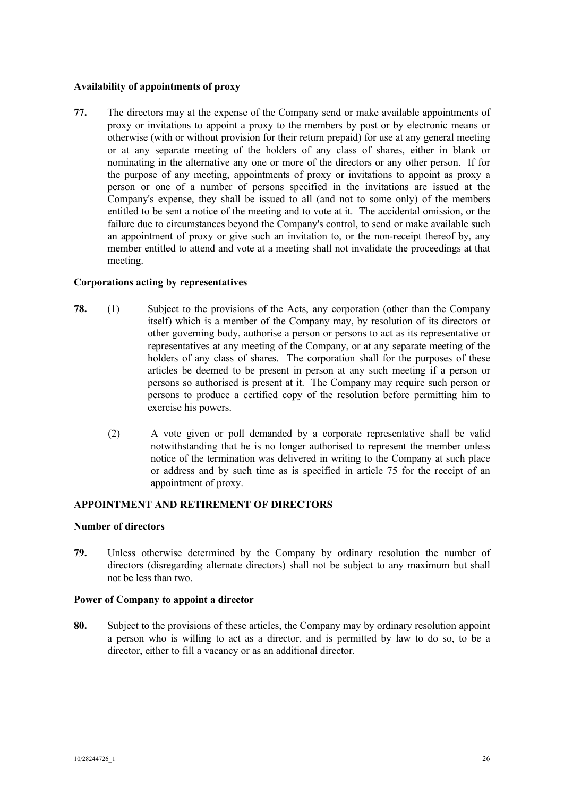# **Availability of appointments of proxy**

**77.** The directors may at the expense of the Company send or make available appointments of proxy or invitations to appoint a proxy to the members by post or by electronic means or otherwise (with or without provision for their return prepaid) for use at any general meeting or at any separate meeting of the holders of any class of shares, either in blank or nominating in the alternative any one or more of the directors or any other person. If for the purpose of any meeting, appointments of proxy or invitations to appoint as proxy a person or one of a number of persons specified in the invitations are issued at the Company's expense, they shall be issued to all (and not to some only) of the members entitled to be sent a notice of the meeting and to vote at it. The accidental omission, or the failure due to circumstances beyond the Company's control, to send or make available such an appointment of proxy or give such an invitation to, or the non-receipt thereof by, any member entitled to attend and vote at a meeting shall not invalidate the proceedings at that meeting.

## **Corporations acting by representatives**

- **78.** (1) Subject to the provisions of the Acts, any corporation (other than the Company itself) which is a member of the Company may, by resolution of its directors or other governing body, authorise a person or persons to act as its representative or representatives at any meeting of the Company, or at any separate meeting of the holders of any class of shares. The corporation shall for the purposes of these articles be deemed to be present in person at any such meeting if a person or persons so authorised is present at it. The Company may require such person or persons to produce a certified copy of the resolution before permitting him to exercise his powers.
	- (2) A vote given or poll demanded by a corporate representative shall be valid notwithstanding that he is no longer authorised to represent the member unless notice of the termination was delivered in writing to the Company at such place or address and by such time as is specified in article 75 for the receipt of an appointment of proxy.

# **APPOINTMENT AND RETIREMENT OF DIRECTORS**

#### **Number of directors**

**79.** Unless otherwise determined by the Company by ordinary resolution the number of directors (disregarding alternate directors) shall not be subject to any maximum but shall not be less than two.

#### **Power of Company to appoint a director**

**80.** Subject to the provisions of these articles, the Company may by ordinary resolution appoint a person who is willing to act as a director, and is permitted by law to do so, to be a director, either to fill a vacancy or as an additional director.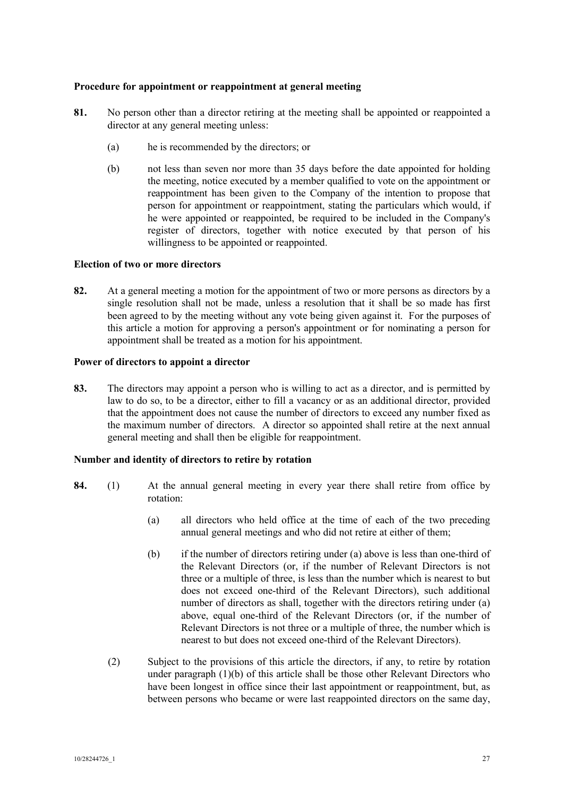# **Procedure for appointment or reappointment at general meeting**

- **81.** No person other than a director retiring at the meeting shall be appointed or reappointed a director at any general meeting unless:
	- (a) he is recommended by the directors; or
	- (b) not less than seven nor more than 35 days before the date appointed for holding the meeting, notice executed by a member qualified to vote on the appointment or reappointment has been given to the Company of the intention to propose that person for appointment or reappointment, stating the particulars which would, if he were appointed or reappointed, be required to be included in the Company's register of directors, together with notice executed by that person of his willingness to be appointed or reappointed.

#### **Election of two or more directors**

**82.** At a general meeting a motion for the appointment of two or more persons as directors by a single resolution shall not be made, unless a resolution that it shall be so made has first been agreed to by the meeting without any vote being given against it. For the purposes of this article a motion for approving a person's appointment or for nominating a person for appointment shall be treated as a motion for his appointment.

## **Power of directors to appoint a director**

**83.** The directors may appoint a person who is willing to act as a director, and is permitted by law to do so, to be a director, either to fill a vacancy or as an additional director, provided that the appointment does not cause the number of directors to exceed any number fixed as the maximum number of directors. A director so appointed shall retire at the next annual general meeting and shall then be eligible for reappointment.

#### **Number and identity of directors to retire by rotation**

- **84.** (1) At the annual general meeting in every year there shall retire from office by rotation:
	- (a) all directors who held office at the time of each of the two preceding annual general meetings and who did not retire at either of them;
	- (b) if the number of directors retiring under (a) above is less than one-third of the Relevant Directors (or, if the number of Relevant Directors is not three or a multiple of three, is less than the number which is nearest to but does not exceed one-third of the Relevant Directors), such additional number of directors as shall, together with the directors retiring under (a) above, equal one-third of the Relevant Directors (or, if the number of Relevant Directors is not three or a multiple of three, the number which is nearest to but does not exceed one-third of the Relevant Directors).
	- (2) Subject to the provisions of this article the directors, if any, to retire by rotation under paragraph (1)(b) of this article shall be those other Relevant Directors who have been longest in office since their last appointment or reappointment, but, as between persons who became or were last reappointed directors on the same day,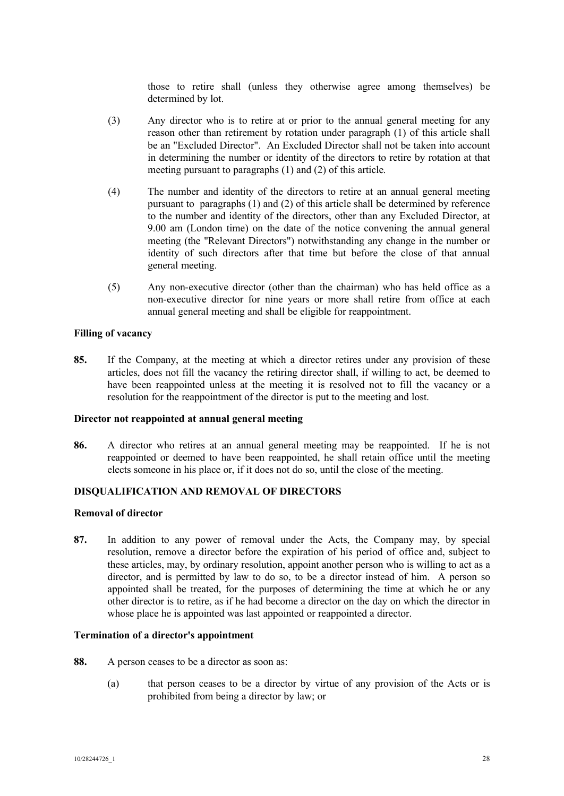those to retire shall (unless they otherwise agree among themselves) be determined by lot.

- (3) Any director who is to retire at or prior to the annual general meeting for any reason other than retirement by rotation under paragraph (1) of this article shall be an "Excluded Director". An Excluded Director shall not be taken into account in determining the number or identity of the directors to retire by rotation at that meeting pursuant to paragraphs (1) and (2) of this article.
- (4) The number and identity of the directors to retire at an annual general meeting pursuant to paragraphs (1) and (2) of this article shall be determined by reference to the number and identity of the directors, other than any Excluded Director, at 9.00 am (London time) on the date of the notice convening the annual general meeting (the "Relevant Directors") notwithstanding any change in the number or identity of such directors after that time but before the close of that annual general meeting.
- (5) Any non-executive director (other than the chairman) who has held office as a non-executive director for nine years or more shall retire from office at each annual general meeting and shall be eligible for reappointment.

#### **Filling of vacancy**

**85.** If the Company, at the meeting at which a director retires under any provision of these articles, does not fill the vacancy the retiring director shall, if willing to act, be deemed to have been reappointed unless at the meeting it is resolved not to fill the vacancy or a resolution for the reappointment of the director is put to the meeting and lost.

#### **Director not reappointed at annual general meeting**

**86.** A director who retires at an annual general meeting may be reappointed. If he is not reappointed or deemed to have been reappointed, he shall retain office until the meeting elects someone in his place or, if it does not do so, until the close of the meeting.

# **DISQUALIFICATION AND REMOVAL OF DIRECTORS**

#### **Removal of director**

**87.** In addition to any power of removal under the Acts, the Company may, by special resolution, remove a director before the expiration of his period of office and, subject to these articles, may, by ordinary resolution, appoint another person who is willing to act as a director, and is permitted by law to do so, to be a director instead of him. A person so appointed shall be treated, for the purposes of determining the time at which he or any other director is to retire, as if he had become a director on the day on which the director in whose place he is appointed was last appointed or reappointed a director.

#### **Termination of a director's appointment**

- **88.** A person ceases to be a director as soon as:
	- (a) that person ceases to be a director by virtue of any provision of the Acts or is prohibited from being a director by law; or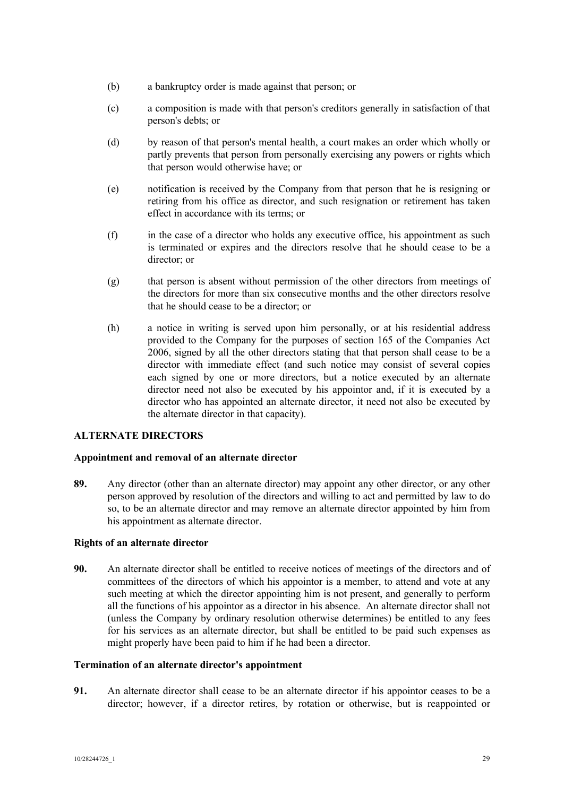- (b) a bankruptcy order is made against that person; or
- (c) a composition is made with that person's creditors generally in satisfaction of that person's debts; or
- (d) by reason of that person's mental health, a court makes an order which wholly or partly prevents that person from personally exercising any powers or rights which that person would otherwise have; or
- (e) notification is received by the Company from that person that he is resigning or retiring from his office as director, and such resignation or retirement has taken effect in accordance with its terms; or
- (f) in the case of a director who holds any executive office, his appointment as such is terminated or expires and the directors resolve that he should cease to be a director; or
- (g) that person is absent without permission of the other directors from meetings of the directors for more than six consecutive months and the other directors resolve that he should cease to be a director; or
- (h) a notice in writing is served upon him personally, or at his residential address provided to the Company for the purposes of section 165 of the Companies Act 2006, signed by all the other directors stating that that person shall cease to be a director with immediate effect (and such notice may consist of several copies each signed by one or more directors, but a notice executed by an alternate director need not also be executed by his appointor and, if it is executed by a director who has appointed an alternate director, it need not also be executed by the alternate director in that capacity).

# **ALTERNATE DIRECTORS**

# **Appointment and removal of an alternate director**

**89.** Any director (other than an alternate director) may appoint any other director, or any other person approved by resolution of the directors and willing to act and permitted by law to do so, to be an alternate director and may remove an alternate director appointed by him from his appointment as alternate director.

# **Rights of an alternate director**

**90.** An alternate director shall be entitled to receive notices of meetings of the directors and of committees of the directors of which his appointor is a member, to attend and vote at any such meeting at which the director appointing him is not present, and generally to perform all the functions of his appointor as a director in his absence. An alternate director shall not (unless the Company by ordinary resolution otherwise determines) be entitled to any fees for his services as an alternate director, but shall be entitled to be paid such expenses as might properly have been paid to him if he had been a director.

# **Termination of an alternate director's appointment**

**91.** An alternate director shall cease to be an alternate director if his appointor ceases to be a director; however, if a director retires, by rotation or otherwise, but is reappointed or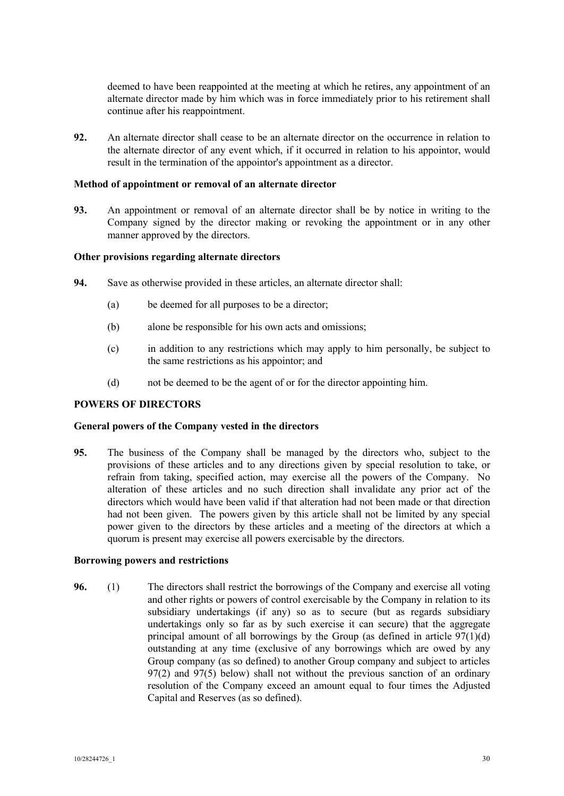deemed to have been reappointed at the meeting at which he retires, any appointment of an alternate director made by him which was in force immediately prior to his retirement shall continue after his reappointment.

**92.** An alternate director shall cease to be an alternate director on the occurrence in relation to the alternate director of any event which, if it occurred in relation to his appointor, would result in the termination of the appointor's appointment as a director.

## **Method of appointment or removal of an alternate director**

**93.** An appointment or removal of an alternate director shall be by notice in writing to the Company signed by the director making or revoking the appointment or in any other manner approved by the directors.

## **Other provisions regarding alternate directors**

- **94.** Save as otherwise provided in these articles, an alternate director shall:
	- (a) be deemed for all purposes to be a director;
	- (b) alone be responsible for his own acts and omissions;
	- (c) in addition to any restrictions which may apply to him personally, be subject to the same restrictions as his appointor; and
	- (d) not be deemed to be the agent of or for the director appointing him.

# **POWERS OF DIRECTORS**

#### **General powers of the Company vested in the directors**

**95.** The business of the Company shall be managed by the directors who, subject to the provisions of these articles and to any directions given by special resolution to take, or refrain from taking, specified action, may exercise all the powers of the Company. No alteration of these articles and no such direction shall invalidate any prior act of the directors which would have been valid if that alteration had not been made or that direction had not been given. The powers given by this article shall not be limited by any special power given to the directors by these articles and a meeting of the directors at which a quorum is present may exercise all powers exercisable by the directors.

# **Borrowing powers and restrictions**

**96.** (1) The directors shall restrict the borrowings of the Company and exercise all voting and other rights or powers of control exercisable by the Company in relation to its subsidiary undertakings (if any) so as to secure (but as regards subsidiary undertakings only so far as by such exercise it can secure) that the aggregate principal amount of all borrowings by the Group (as defined in article  $97(1)(d)$ ) outstanding at any time (exclusive of any borrowings which are owed by any Group company (as so defined) to another Group company and subject to articles 97(2) and 97(5) below) shall not without the previous sanction of an ordinary resolution of the Company exceed an amount equal to four times the Adjusted Capital and Reserves (as so defined).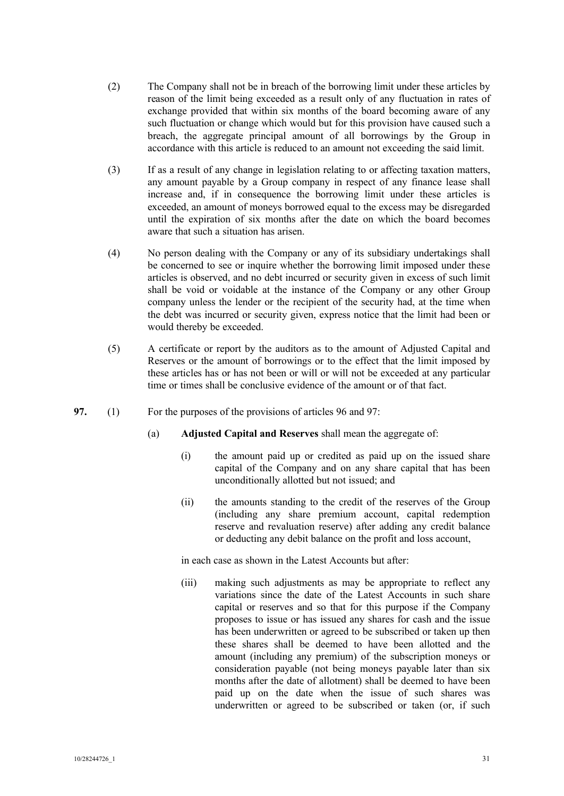- (2) The Company shall not be in breach of the borrowing limit under these articles by reason of the limit being exceeded as a result only of any fluctuation in rates of exchange provided that within six months of the board becoming aware of any such fluctuation or change which would but for this provision have caused such a breach, the aggregate principal amount of all borrowings by the Group in accordance with this article is reduced to an amount not exceeding the said limit.
- (3) If as a result of any change in legislation relating to or affecting taxation matters, any amount payable by a Group company in respect of any finance lease shall increase and, if in consequence the borrowing limit under these articles is exceeded, an amount of moneys borrowed equal to the excess may be disregarded until the expiration of six months after the date on which the board becomes aware that such a situation has arisen.
- (4) No person dealing with the Company or any of its subsidiary undertakings shall be concerned to see or inquire whether the borrowing limit imposed under these articles is observed, and no debt incurred or security given in excess of such limit shall be void or voidable at the instance of the Company or any other Group company unless the lender or the recipient of the security had, at the time when the debt was incurred or security given, express notice that the limit had been or would thereby be exceeded.
- (5) A certificate or report by the auditors as to the amount of Adjusted Capital and Reserves or the amount of borrowings or to the effect that the limit imposed by these articles has or has not been or will or will not be exceeded at any particular time or times shall be conclusive evidence of the amount or of that fact.
- **97.** (1) For the purposes of the provisions of articles 96 and 97:
	- (a) **Adjusted Capital and Reserves** shall mean the aggregate of:
		- (i) the amount paid up or credited as paid up on the issued share capital of the Company and on any share capital that has been unconditionally allotted but not issued; and
		- (ii) the amounts standing to the credit of the reserves of the Group (including any share premium account, capital redemption reserve and revaluation reserve) after adding any credit balance or deducting any debit balance on the profit and loss account,

in each case as shown in the Latest Accounts but after:

(iii) making such adjustments as may be appropriate to reflect any variations since the date of the Latest Accounts in such share capital or reserves and so that for this purpose if the Company proposes to issue or has issued any shares for cash and the issue has been underwritten or agreed to be subscribed or taken up then these shares shall be deemed to have been allotted and the amount (including any premium) of the subscription moneys or consideration payable (not being moneys payable later than six months after the date of allotment) shall be deemed to have been paid up on the date when the issue of such shares was underwritten or agreed to be subscribed or taken (or, if such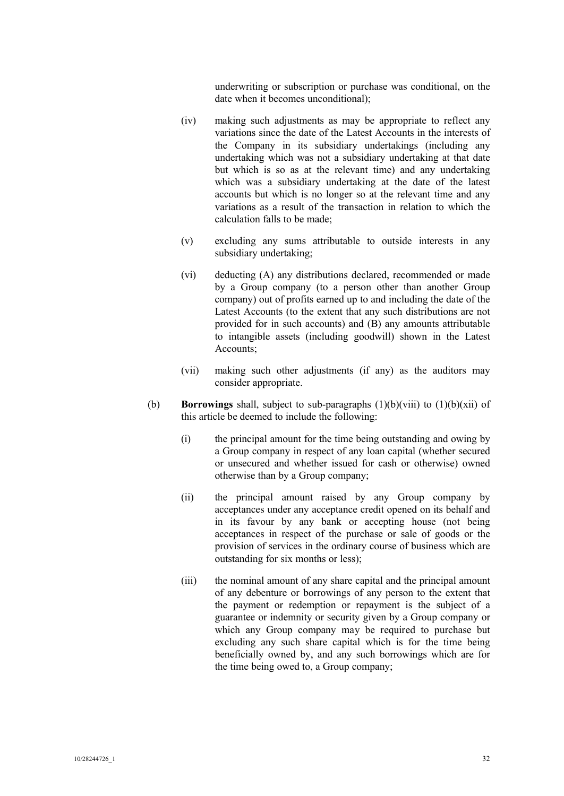underwriting or subscription or purchase was conditional, on the date when it becomes unconditional);

- (iv) making such adjustments as may be appropriate to reflect any variations since the date of the Latest Accounts in the interests of the Company in its subsidiary undertakings (including any undertaking which was not a subsidiary undertaking at that date but which is so as at the relevant time) and any undertaking which was a subsidiary undertaking at the date of the latest accounts but which is no longer so at the relevant time and any variations as a result of the transaction in relation to which the calculation falls to be made;
- (v) excluding any sums attributable to outside interests in any subsidiary undertaking;
- (vi) deducting (A) any distributions declared, recommended or made by a Group company (to a person other than another Group company) out of profits earned up to and including the date of the Latest Accounts (to the extent that any such distributions are not provided for in such accounts) and (B) any amounts attributable to intangible assets (including goodwill) shown in the Latest Accounts;
- (vii) making such other adjustments (if any) as the auditors may consider appropriate.
- (b) **Borrowings** shall, subject to sub-paragraphs (1)(b)(viii) to (1)(b)(xii) of this article be deemed to include the following:
	- (i) the principal amount for the time being outstanding and owing by a Group company in respect of any loan capital (whether secured or unsecured and whether issued for cash or otherwise) owned otherwise than by a Group company;
	- (ii) the principal amount raised by any Group company by acceptances under any acceptance credit opened on its behalf and in its favour by any bank or accepting house (not being acceptances in respect of the purchase or sale of goods or the provision of services in the ordinary course of business which are outstanding for six months or less);
	- (iii) the nominal amount of any share capital and the principal amount of any debenture or borrowings of any person to the extent that the payment or redemption or repayment is the subject of a guarantee or indemnity or security given by a Group company or which any Group company may be required to purchase but excluding any such share capital which is for the time being beneficially owned by, and any such borrowings which are for the time being owed to, a Group company;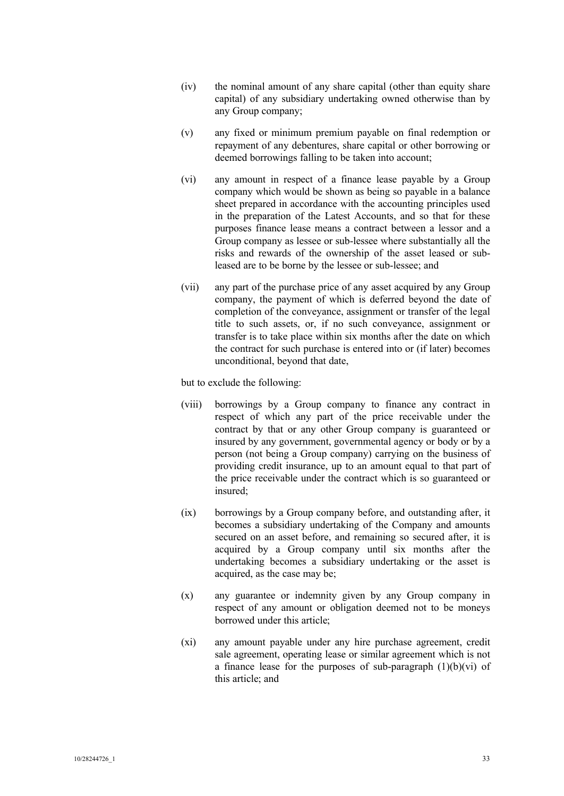- (iv) the nominal amount of any share capital (other than equity share capital) of any subsidiary undertaking owned otherwise than by any Group company;
- (v) any fixed or minimum premium payable on final redemption or repayment of any debentures, share capital or other borrowing or deemed borrowings falling to be taken into account;
- (vi) any amount in respect of a finance lease payable by a Group company which would be shown as being so payable in a balance sheet prepared in accordance with the accounting principles used in the preparation of the Latest Accounts, and so that for these purposes finance lease means a contract between a lessor and a Group company as lessee or sub-lessee where substantially all the risks and rewards of the ownership of the asset leased or subleased are to be borne by the lessee or sub-lessee; and
- (vii) any part of the purchase price of any asset acquired by any Group company, the payment of which is deferred beyond the date of completion of the conveyance, assignment or transfer of the legal title to such assets, or, if no such conveyance, assignment or transfer is to take place within six months after the date on which the contract for such purchase is entered into or (if later) becomes unconditional, beyond that date,

but to exclude the following:

- (viii) borrowings by a Group company to finance any contract in respect of which any part of the price receivable under the contract by that or any other Group company is guaranteed or insured by any government, governmental agency or body or by a person (not being a Group company) carrying on the business of providing credit insurance, up to an amount equal to that part of the price receivable under the contract which is so guaranteed or insured;
- (ix) borrowings by a Group company before, and outstanding after, it becomes a subsidiary undertaking of the Company and amounts secured on an asset before, and remaining so secured after, it is acquired by a Group company until six months after the undertaking becomes a subsidiary undertaking or the asset is acquired, as the case may be;
- (x) any guarantee or indemnity given by any Group company in respect of any amount or obligation deemed not to be moneys borrowed under this article;
- (xi) any amount payable under any hire purchase agreement, credit sale agreement, operating lease or similar agreement which is not a finance lease for the purposes of sub-paragraph  $(1)(b)(vi)$  of this article; and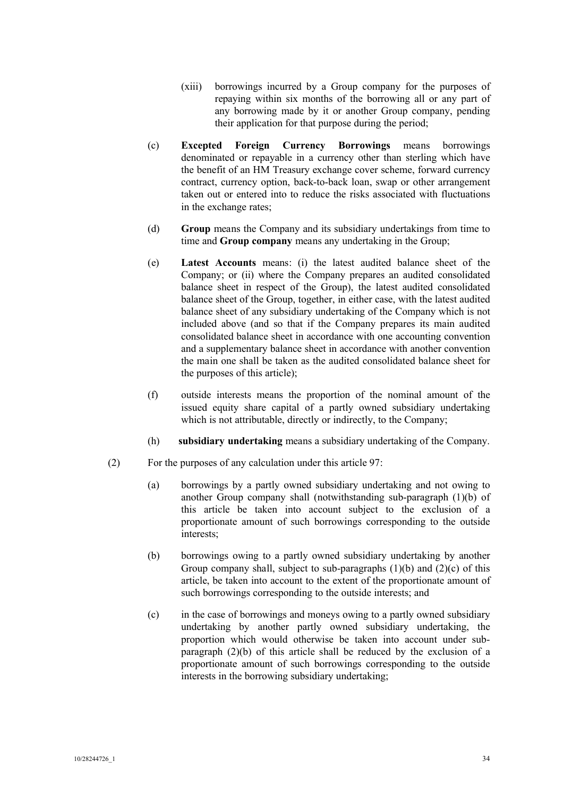- (xiii) borrowings incurred by a Group company for the purposes of repaying within six months of the borrowing all or any part of any borrowing made by it or another Group company, pending their application for that purpose during the period;
- (c) **Excepted Foreign Currency Borrowings** means borrowings denominated or repayable in a currency other than sterling which have the benefit of an HM Treasury exchange cover scheme, forward currency contract, currency option, back-to-back loan, swap or other arrangement taken out or entered into to reduce the risks associated with fluctuations in the exchange rates;
- (d) **Group** means the Company and its subsidiary undertakings from time to time and **Group company** means any undertaking in the Group;
- (e) **Latest Accounts** means: (i) the latest audited balance sheet of the Company; or (ii) where the Company prepares an audited consolidated balance sheet in respect of the Group), the latest audited consolidated balance sheet of the Group, together, in either case, with the latest audited balance sheet of any subsidiary undertaking of the Company which is not included above (and so that if the Company prepares its main audited consolidated balance sheet in accordance with one accounting convention and a supplementary balance sheet in accordance with another convention the main one shall be taken as the audited consolidated balance sheet for the purposes of this article);
- (f) outside interests means the proportion of the nominal amount of the issued equity share capital of a partly owned subsidiary undertaking which is not attributable, directly or indirectly, to the Company;
- (h) **subsidiary undertaking** means a subsidiary undertaking of the Company.
- (2) For the purposes of any calculation under this article 97:
	- (a) borrowings by a partly owned subsidiary undertaking and not owing to another Group company shall (notwithstanding sub-paragraph (1)(b) of this article be taken into account subject to the exclusion of a proportionate amount of such borrowings corresponding to the outside interests;
	- (b) borrowings owing to a partly owned subsidiary undertaking by another Group company shall, subject to sub-paragraphs  $(1)(b)$  and  $(2)(c)$  of this article, be taken into account to the extent of the proportionate amount of such borrowings corresponding to the outside interests; and
	- (c) in the case of borrowings and moneys owing to a partly owned subsidiary undertaking by another partly owned subsidiary undertaking, the proportion which would otherwise be taken into account under subparagraph (2)(b) of this article shall be reduced by the exclusion of a proportionate amount of such borrowings corresponding to the outside interests in the borrowing subsidiary undertaking;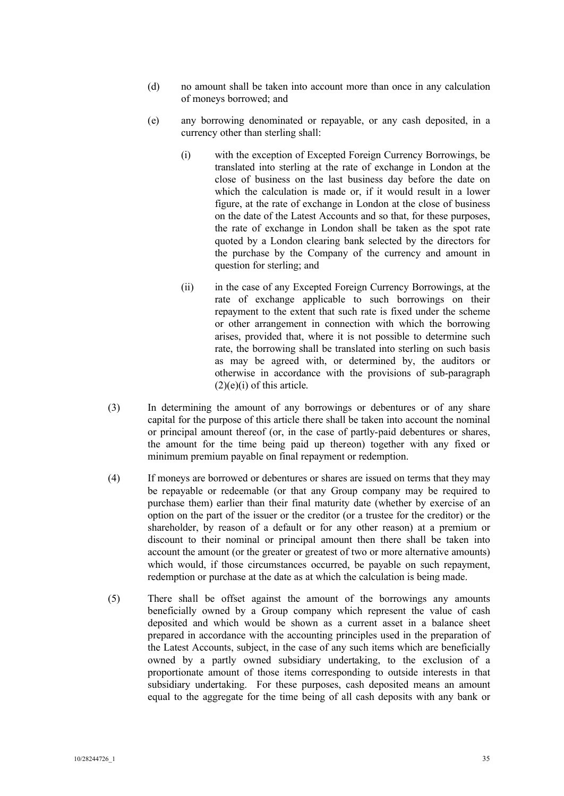- (d) no amount shall be taken into account more than once in any calculation of moneys borrowed; and
- (e) any borrowing denominated or repayable, or any cash deposited, in a currency other than sterling shall:
	- (i) with the exception of Excepted Foreign Currency Borrowings, be translated into sterling at the rate of exchange in London at the close of business on the last business day before the date on which the calculation is made or, if it would result in a lower figure, at the rate of exchange in London at the close of business on the date of the Latest Accounts and so that, for these purposes, the rate of exchange in London shall be taken as the spot rate quoted by a London clearing bank selected by the directors for the purchase by the Company of the currency and amount in question for sterling; and
	- (ii) in the case of any Excepted Foreign Currency Borrowings, at the rate of exchange applicable to such borrowings on their repayment to the extent that such rate is fixed under the scheme or other arrangement in connection with which the borrowing arises, provided that, where it is not possible to determine such rate, the borrowing shall be translated into sterling on such basis as may be agreed with, or determined by, the auditors or otherwise in accordance with the provisions of sub-paragraph (2)(e)(i) of this article.
- (3) In determining the amount of any borrowings or debentures or of any share capital for the purpose of this article there shall be taken into account the nominal or principal amount thereof (or, in the case of partly-paid debentures or shares, the amount for the time being paid up thereon) together with any fixed or minimum premium payable on final repayment or redemption.
- (4) If moneys are borrowed or debentures or shares are issued on terms that they may be repayable or redeemable (or that any Group company may be required to purchase them) earlier than their final maturity date (whether by exercise of an option on the part of the issuer or the creditor (or a trustee for the creditor) or the shareholder, by reason of a default or for any other reason) at a premium or discount to their nominal or principal amount then there shall be taken into account the amount (or the greater or greatest of two or more alternative amounts) which would, if those circumstances occurred, be payable on such repayment, redemption or purchase at the date as at which the calculation is being made.
- (5) There shall be offset against the amount of the borrowings any amounts beneficially owned by a Group company which represent the value of cash deposited and which would be shown as a current asset in a balance sheet prepared in accordance with the accounting principles used in the preparation of the Latest Accounts, subject, in the case of any such items which are beneficially owned by a partly owned subsidiary undertaking, to the exclusion of a proportionate amount of those items corresponding to outside interests in that subsidiary undertaking. For these purposes, cash deposited means an amount equal to the aggregate for the time being of all cash deposits with any bank or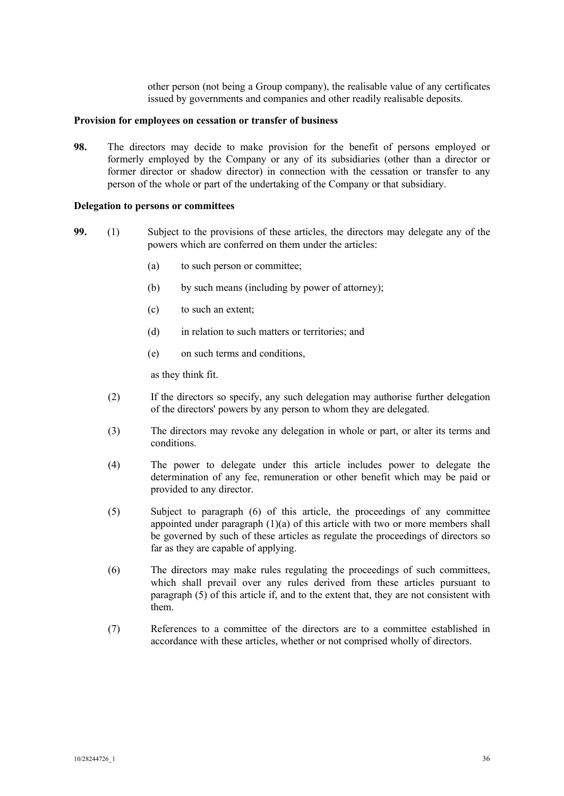other person (not being a Group company), the realisable value of any certificates issued by governments and companies and other readily realisable deposits.

## **Provision for employees on cessation or transfer of business**

**98.** The directors may decide to make provision for the benefit of persons employed or formerly employed by the Company or any of its subsidiaries (other than a director or former director or shadow director) in connection with the cessation or transfer to any person of the whole or part of the undertaking of the Company or that subsidiary.

#### **Delegation to persons or committees**

- **99.** (1) Subject to the provisions of these articles, the directors may delegate any of the powers which are conferred on them under the articles:
	- (a) to such person or committee;
	- (b) by such means (including by power of attorney);
	- (c) to such an extent;
	- (d) in relation to such matters or territories; and
	- (e) on such terms and conditions,

as they think fit.

- (2) If the directors so specify, any such delegation may authorise further delegation of the directors' powers by any person to whom they are delegated.
- (3) The directors may revoke any delegation in whole or part, or alter its terms and conditions.
- (4) The power to delegate under this article includes power to delegate the determination of any fee, remuneration or other benefit which may be paid or provided to any director.
- (5) Subject to paragraph (6) of this article, the proceedings of any committee appointed under paragraph  $(1)(a)$  of this article with two or more members shall be governed by such of these articles as regulate the proceedings of directors so far as they are capable of applying.
- (6) The directors may make rules regulating the proceedings of such committees, which shall prevail over any rules derived from these articles pursuant to paragraph (5) of this article if, and to the extent that, they are not consistent with them.
- (7) References to a committee of the directors are to a committee established in accordance with these articles, whether or not comprised wholly of directors.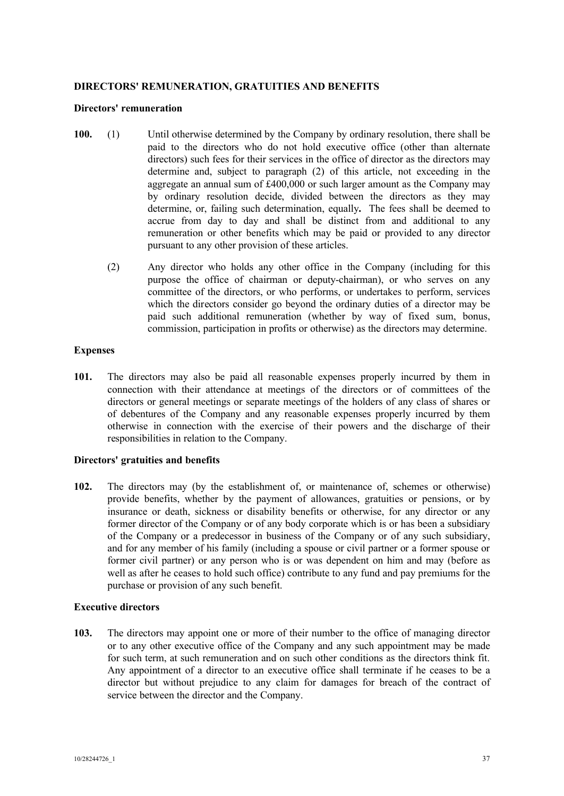# **DIRECTORS' REMUNERATION, GRATUITIES AND BENEFITS**

#### **Directors' remuneration**

- **100.** (1) Until otherwise determined by the Company by ordinary resolution, there shall be paid to the directors who do not hold executive office (other than alternate directors) such fees for their services in the office of director as the directors may determine and, subject to paragraph (2) of this article, not exceeding in the aggregate an annual sum of £400,000 or such larger amount as the Company may by ordinary resolution decide, divided between the directors as they may determine, or, failing such determination, equally**.** The fees shall be deemed to accrue from day to day and shall be distinct from and additional to any remuneration or other benefits which may be paid or provided to any director pursuant to any other provision of these articles.
	- (2) Any director who holds any other office in the Company (including for this purpose the office of chairman or deputy-chairman), or who serves on any committee of the directors, or who performs, or undertakes to perform, services which the directors consider go beyond the ordinary duties of a director may be paid such additional remuneration (whether by way of fixed sum, bonus, commission, participation in profits or otherwise) as the directors may determine.

## **Expenses**

**101.** The directors may also be paid all reasonable expenses properly incurred by them in connection with their attendance at meetings of the directors or of committees of the directors or general meetings or separate meetings of the holders of any class of shares or of debentures of the Company and any reasonable expenses properly incurred by them otherwise in connection with the exercise of their powers and the discharge of their responsibilities in relation to the Company.

# **Directors' gratuities and benefits**

**102.** The directors may (by the establishment of, or maintenance of, schemes or otherwise) provide benefits, whether by the payment of allowances, gratuities or pensions, or by insurance or death, sickness or disability benefits or otherwise, for any director or any former director of the Company or of any body corporate which is or has been a subsidiary of the Company or a predecessor in business of the Company or of any such subsidiary, and for any member of his family (including a spouse or civil partner or a former spouse or former civil partner) or any person who is or was dependent on him and may (before as well as after he ceases to hold such office) contribute to any fund and pay premiums for the purchase or provision of any such benefit.

# **Executive directors**

**103.** The directors may appoint one or more of their number to the office of managing director or to any other executive office of the Company and any such appointment may be made for such term, at such remuneration and on such other conditions as the directors think fit. Any appointment of a director to an executive office shall terminate if he ceases to be a director but without prejudice to any claim for damages for breach of the contract of service between the director and the Company.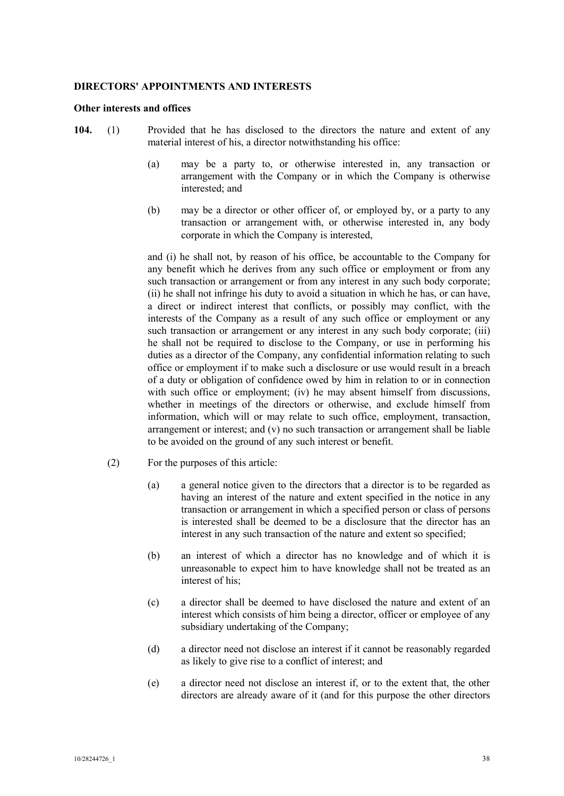## **DIRECTORS' APPOINTMENTS AND INTERESTS**

#### **Other interests and offices**

- **104.** (1) Provided that he has disclosed to the directors the nature and extent of any material interest of his, a director notwithstanding his office:
	- (a) may be a party to, or otherwise interested in, any transaction or arrangement with the Company or in which the Company is otherwise interested; and
	- (b) may be a director or other officer of, or employed by, or a party to any transaction or arrangement with, or otherwise interested in, any body corporate in which the Company is interested,

and (i) he shall not, by reason of his office, be accountable to the Company for any benefit which he derives from any such office or employment or from any such transaction or arrangement or from any interest in any such body corporate; (ii) he shall not infringe his duty to avoid a situation in which he has, or can have, a direct or indirect interest that conflicts, or possibly may conflict, with the interests of the Company as a result of any such office or employment or any such transaction or arrangement or any interest in any such body corporate; (iii) he shall not be required to disclose to the Company, or use in performing his duties as a director of the Company, any confidential information relating to such office or employment if to make such a disclosure or use would result in a breach of a duty or obligation of confidence owed by him in relation to or in connection with such office or employment; (iv) he may absent himself from discussions, whether in meetings of the directors or otherwise, and exclude himself from information, which will or may relate to such office, employment, transaction, arrangement or interest; and (v) no such transaction or arrangement shall be liable to be avoided on the ground of any such interest or benefit.

- (2) For the purposes of this article:
	- (a) a general notice given to the directors that a director is to be regarded as having an interest of the nature and extent specified in the notice in any transaction or arrangement in which a specified person or class of persons is interested shall be deemed to be a disclosure that the director has an interest in any such transaction of the nature and extent so specified;
	- (b) an interest of which a director has no knowledge and of which it is unreasonable to expect him to have knowledge shall not be treated as an interest of his;
	- (c) a director shall be deemed to have disclosed the nature and extent of an interest which consists of him being a director, officer or employee of any subsidiary undertaking of the Company;
	- (d) a director need not disclose an interest if it cannot be reasonably regarded as likely to give rise to a conflict of interest; and
	- (e) a director need not disclose an interest if, or to the extent that, the other directors are already aware of it (and for this purpose the other directors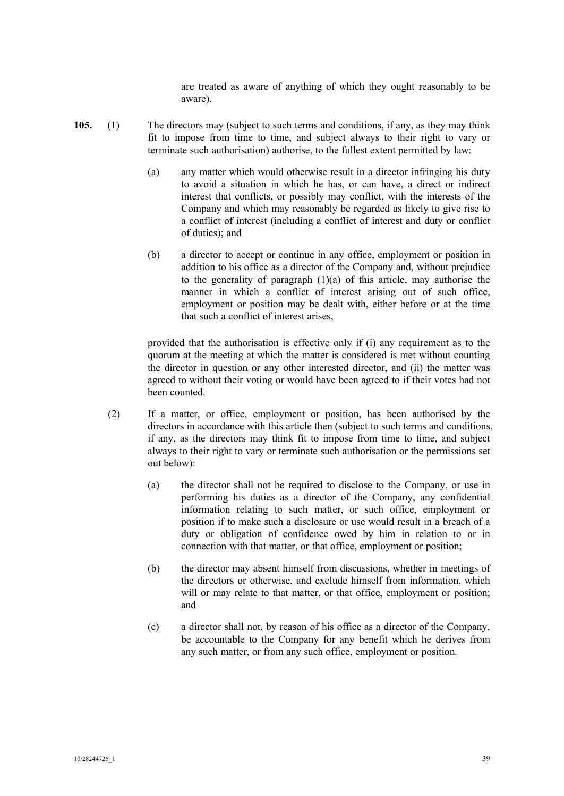are treated as aware of anything of which they ought reasonably to be aware).

- **105.** (1) The directors may (subject to such terms and conditions, if any, as they may think fit to impose from time to time, and subject always to their right to vary or terminate such authorisation) authorise, to the fullest extent permitted by law:
	- (a) any matter which would otherwise result in a director infringing his duty to avoid a situation in which he has, or can have, a direct or indirect interest that conflicts, or possibly may conflict, with the interests of the Company and which may reasonably be regarded as likely to give rise to a conflict of interest (including a conflict of interest and duty or conflict of duties); and
	- (b) a director to accept or continue in any office, employment or position in addition to his office as a director of the Company and, without prejudice to the generality of paragraph  $(1)(a)$  of this article, may authorise the manner in which a conflict of interest arising out of such office, employment or position may be dealt with, either before or at the time that such a conflict of interest arises,

provided that the authorisation is effective only if (i) any requirement as to the quorum at the meeting at which the matter is considered is met without counting the director in question or any other interested director, and (ii) the matter was agreed to without their voting or would have been agreed to if their votes had not been counted.

- (2) If a matter, or office, employment or position, has been authorised by the directors in accordance with this article then (subject to such terms and conditions, if any, as the directors may think fit to impose from time to time, and subject always to their right to vary or terminate such authorisation or the permissions set out below):
	- (a) the director shall not be required to disclose to the Company, or use in performing his duties as a director of the Company, any confidential information relating to such matter, or such office, employment or position if to make such a disclosure or use would result in a breach of a duty or obligation of confidence owed by him in relation to or in connection with that matter, or that office, employment or position;
	- (b) the director may absent himself from discussions, whether in meetings of the directors or otherwise, and exclude himself from information, which will or may relate to that matter, or that office, employment or position; and
	- (c) a director shall not, by reason of his office as a director of the Company, be accountable to the Company for any benefit which he derives from any such matter, or from any such office, employment or position.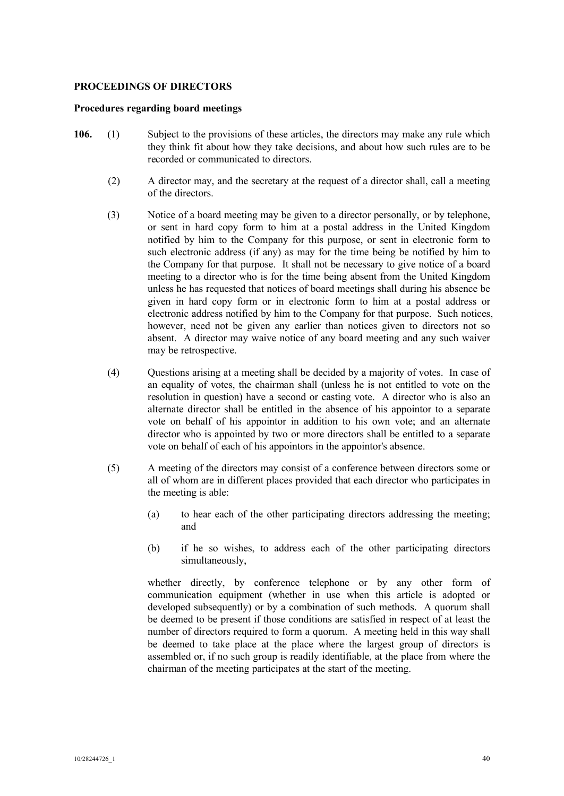# **PROCEEDINGS OF DIRECTORS**

#### **Procedures regarding board meetings**

- **106.** (1) Subject to the provisions of these articles, the directors may make any rule which they think fit about how they take decisions, and about how such rules are to be recorded or communicated to directors.
	- (2) A director may, and the secretary at the request of a director shall, call a meeting of the directors.
	- (3) Notice of a board meeting may be given to a director personally, or by telephone, or sent in hard copy form to him at a postal address in the United Kingdom notified by him to the Company for this purpose, or sent in electronic form to such electronic address (if any) as may for the time being be notified by him to the Company for that purpose. It shall not be necessary to give notice of a board meeting to a director who is for the time being absent from the United Kingdom unless he has requested that notices of board meetings shall during his absence be given in hard copy form or in electronic form to him at a postal address or electronic address notified by him to the Company for that purpose. Such notices, however, need not be given any earlier than notices given to directors not so absent. A director may waive notice of any board meeting and any such waiver may be retrospective.
	- (4) Questions arising at a meeting shall be decided by a majority of votes. In case of an equality of votes, the chairman shall (unless he is not entitled to vote on the resolution in question) have a second or casting vote. A director who is also an alternate director shall be entitled in the absence of his appointor to a separate vote on behalf of his appointor in addition to his own vote; and an alternate director who is appointed by two or more directors shall be entitled to a separate vote on behalf of each of his appointors in the appointor's absence.
	- (5) A meeting of the directors may consist of a conference between directors some or all of whom are in different places provided that each director who participates in the meeting is able:
		- (a) to hear each of the other participating directors addressing the meeting; and
		- (b) if he so wishes, to address each of the other participating directors simultaneously,

whether directly, by conference telephone or by any other form of communication equipment (whether in use when this article is adopted or developed subsequently) or by a combination of such methods. A quorum shall be deemed to be present if those conditions are satisfied in respect of at least the number of directors required to form a quorum. A meeting held in this way shall be deemed to take place at the place where the largest group of directors is assembled or, if no such group is readily identifiable, at the place from where the chairman of the meeting participates at the start of the meeting.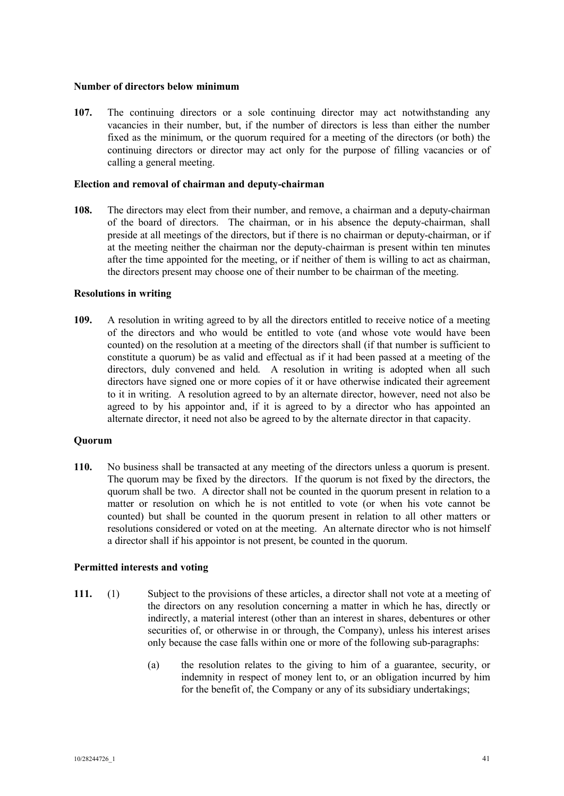## **Number of directors below minimum**

**107.** The continuing directors or a sole continuing director may act notwithstanding any vacancies in their number, but, if the number of directors is less than either the number fixed as the minimum, or the quorum required for a meeting of the directors (or both) the continuing directors or director may act only for the purpose of filling vacancies or of calling a general meeting.

## **Election and removal of chairman and deputy-chairman**

**108.** The directors may elect from their number, and remove, a chairman and a deputy-chairman of the board of directors. The chairman, or in his absence the deputy-chairman, shall preside at all meetings of the directors, but if there is no chairman or deputy-chairman, or if at the meeting neither the chairman nor the deputy-chairman is present within ten minutes after the time appointed for the meeting, or if neither of them is willing to act as chairman, the directors present may choose one of their number to be chairman of the meeting.

## **Resolutions in writing**

**109.** A resolution in writing agreed to by all the directors entitled to receive notice of a meeting of the directors and who would be entitled to vote (and whose vote would have been counted) on the resolution at a meeting of the directors shall (if that number is sufficient to constitute a quorum) be as valid and effectual as if it had been passed at a meeting of the directors, duly convened and held. A resolution in writing is adopted when all such directors have signed one or more copies of it or have otherwise indicated their agreement to it in writing. A resolution agreed to by an alternate director, however, need not also be agreed to by his appointor and, if it is agreed to by a director who has appointed an alternate director, it need not also be agreed to by the alternate director in that capacity.

# **Quorum**

**110.** No business shall be transacted at any meeting of the directors unless a quorum is present. The quorum may be fixed by the directors. If the quorum is not fixed by the directors, the quorum shall be two. A director shall not be counted in the quorum present in relation to a matter or resolution on which he is not entitled to vote (or when his vote cannot be counted) but shall be counted in the quorum present in relation to all other matters or resolutions considered or voted on at the meeting. An alternate director who is not himself a director shall if his appointor is not present, be counted in the quorum.

# **Permitted interests and voting**

- **111.** (1) Subject to the provisions of these articles, a director shall not vote at a meeting of the directors on any resolution concerning a matter in which he has, directly or indirectly, a material interest (other than an interest in shares, debentures or other securities of, or otherwise in or through, the Company), unless his interest arises only because the case falls within one or more of the following sub-paragraphs:
	- (a) the resolution relates to the giving to him of a guarantee, security, or indemnity in respect of money lent to, or an obligation incurred by him for the benefit of, the Company or any of its subsidiary undertakings;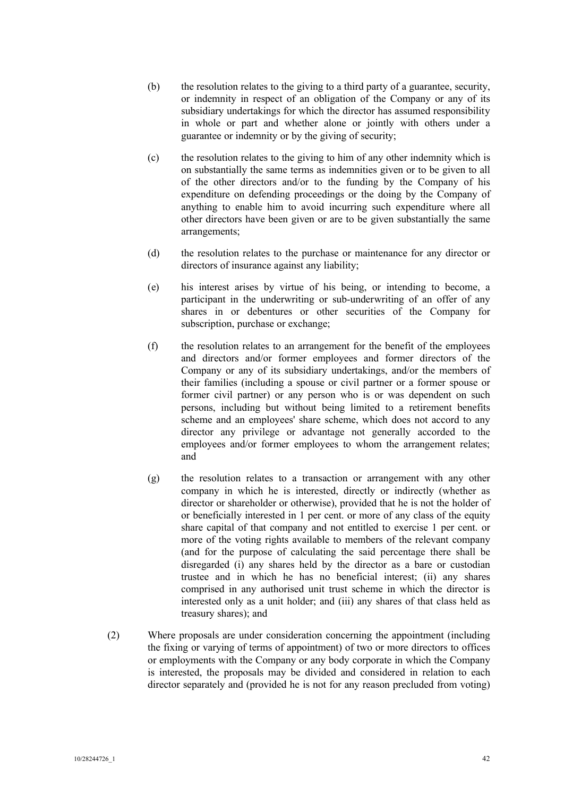- (b) the resolution relates to the giving to a third party of a guarantee, security, or indemnity in respect of an obligation of the Company or any of its subsidiary undertakings for which the director has assumed responsibility in whole or part and whether alone or jointly with others under a guarantee or indemnity or by the giving of security;
- (c) the resolution relates to the giving to him of any other indemnity which is on substantially the same terms as indemnities given or to be given to all of the other directors and/or to the funding by the Company of his expenditure on defending proceedings or the doing by the Company of anything to enable him to avoid incurring such expenditure where all other directors have been given or are to be given substantially the same arrangements;
- (d) the resolution relates to the purchase or maintenance for any director or directors of insurance against any liability;
- (e) his interest arises by virtue of his being, or intending to become, a participant in the underwriting or sub-underwriting of an offer of any shares in or debentures or other securities of the Company for subscription, purchase or exchange;
- (f) the resolution relates to an arrangement for the benefit of the employees and directors and/or former employees and former directors of the Company or any of its subsidiary undertakings, and/or the members of their families (including a spouse or civil partner or a former spouse or former civil partner) or any person who is or was dependent on such persons, including but without being limited to a retirement benefits scheme and an employees' share scheme, which does not accord to any director any privilege or advantage not generally accorded to the employees and/or former employees to whom the arrangement relates; and
- (g) the resolution relates to a transaction or arrangement with any other company in which he is interested, directly or indirectly (whether as director or shareholder or otherwise), provided that he is not the holder of or beneficially interested in 1 per cent. or more of any class of the equity share capital of that company and not entitled to exercise 1 per cent. or more of the voting rights available to members of the relevant company (and for the purpose of calculating the said percentage there shall be disregarded (i) any shares held by the director as a bare or custodian trustee and in which he has no beneficial interest; (ii) any shares comprised in any authorised unit trust scheme in which the director is interested only as a unit holder; and (iii) any shares of that class held as treasury shares); and
- (2) Where proposals are under consideration concerning the appointment (including the fixing or varying of terms of appointment) of two or more directors to offices or employments with the Company or any body corporate in which the Company is interested, the proposals may be divided and considered in relation to each director separately and (provided he is not for any reason precluded from voting)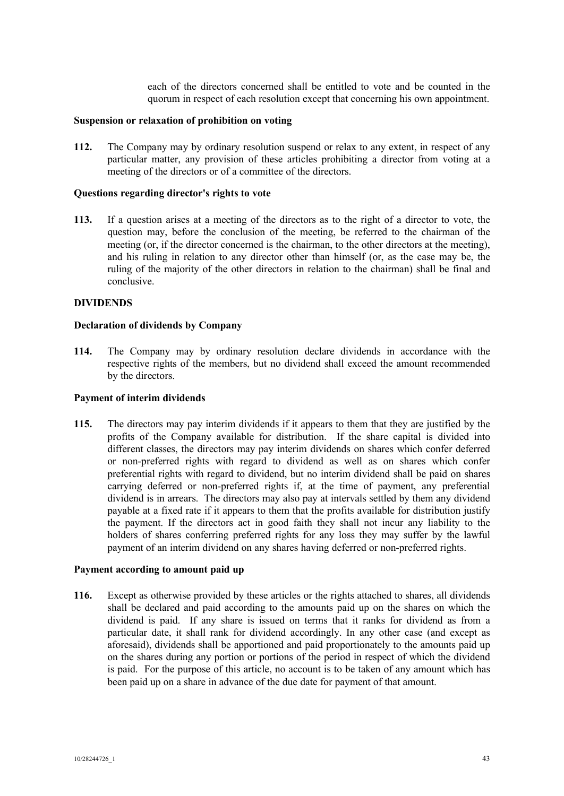each of the directors concerned shall be entitled to vote and be counted in the quorum in respect of each resolution except that concerning his own appointment.

## **Suspension or relaxation of prohibition on voting**

**112.** The Company may by ordinary resolution suspend or relax to any extent, in respect of any particular matter, any provision of these articles prohibiting a director from voting at a meeting of the directors or of a committee of the directors.

#### **Questions regarding director's rights to vote**

**113.** If a question arises at a meeting of the directors as to the right of a director to vote, the question may, before the conclusion of the meeting, be referred to the chairman of the meeting (or, if the director concerned is the chairman, to the other directors at the meeting), and his ruling in relation to any director other than himself (or, as the case may be, the ruling of the majority of the other directors in relation to the chairman) shall be final and conclusive.

#### **DIVIDENDS**

#### **Declaration of dividends by Company**

**114.** The Company may by ordinary resolution declare dividends in accordance with the respective rights of the members, but no dividend shall exceed the amount recommended by the directors.

#### **Payment of interim dividends**

**115.** The directors may pay interim dividends if it appears to them that they are justified by the profits of the Company available for distribution. If the share capital is divided into different classes, the directors may pay interim dividends on shares which confer deferred or non-preferred rights with regard to dividend as well as on shares which confer preferential rights with regard to dividend, but no interim dividend shall be paid on shares carrying deferred or non-preferred rights if, at the time of payment, any preferential dividend is in arrears. The directors may also pay at intervals settled by them any dividend payable at a fixed rate if it appears to them that the profits available for distribution justify the payment. If the directors act in good faith they shall not incur any liability to the holders of shares conferring preferred rights for any loss they may suffer by the lawful payment of an interim dividend on any shares having deferred or non-preferred rights.

#### **Payment according to amount paid up**

**116.** Except as otherwise provided by these articles or the rights attached to shares, all dividends shall be declared and paid according to the amounts paid up on the shares on which the dividend is paid. If any share is issued on terms that it ranks for dividend as from a particular date, it shall rank for dividend accordingly. In any other case (and except as aforesaid), dividends shall be apportioned and paid proportionately to the amounts paid up on the shares during any portion or portions of the period in respect of which the dividend is paid. For the purpose of this article, no account is to be taken of any amount which has been paid up on a share in advance of the due date for payment of that amount.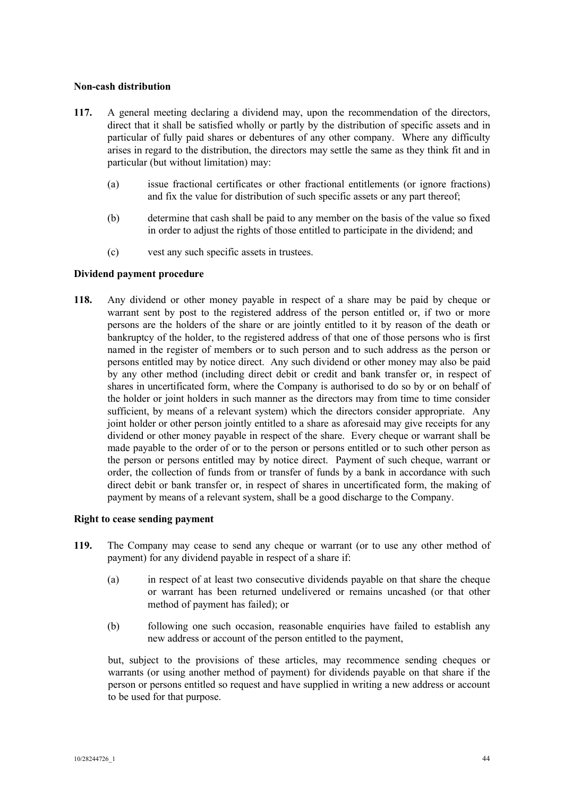# **Non-cash distribution**

- **117.** A general meeting declaring a dividend may, upon the recommendation of the directors, direct that it shall be satisfied wholly or partly by the distribution of specific assets and in particular of fully paid shares or debentures of any other company. Where any difficulty arises in regard to the distribution, the directors may settle the same as they think fit and in particular (but without limitation) may:
	- (a) issue fractional certificates or other fractional entitlements (or ignore fractions) and fix the value for distribution of such specific assets or any part thereof;
	- (b) determine that cash shall be paid to any member on the basis of the value so fixed in order to adjust the rights of those entitled to participate in the dividend; and
	- (c) vest any such specific assets in trustees.

# **Dividend payment procedure**

**118.** Any dividend or other money payable in respect of a share may be paid by cheque or warrant sent by post to the registered address of the person entitled or, if two or more persons are the holders of the share or are jointly entitled to it by reason of the death or bankruptcy of the holder, to the registered address of that one of those persons who is first named in the register of members or to such person and to such address as the person or persons entitled may by notice direct. Any such dividend or other money may also be paid by any other method (including direct debit or credit and bank transfer or, in respect of shares in uncertificated form, where the Company is authorised to do so by or on behalf of the holder or joint holders in such manner as the directors may from time to time consider sufficient, by means of a relevant system) which the directors consider appropriate. Any joint holder or other person jointly entitled to a share as aforesaid may give receipts for any dividend or other money payable in respect of the share. Every cheque or warrant shall be made payable to the order of or to the person or persons entitled or to such other person as the person or persons entitled may by notice direct. Payment of such cheque, warrant or order, the collection of funds from or transfer of funds by a bank in accordance with such direct debit or bank transfer or, in respect of shares in uncertificated form, the making of payment by means of a relevant system, shall be a good discharge to the Company.

#### **Right to cease sending payment**

- **119.** The Company may cease to send any cheque or warrant (or to use any other method of payment) for any dividend payable in respect of a share if:
	- (a) in respect of at least two consecutive dividends payable on that share the cheque or warrant has been returned undelivered or remains uncashed (or that other method of payment has failed); or
	- (b) following one such occasion, reasonable enquiries have failed to establish any new address or account of the person entitled to the payment,

but, subject to the provisions of these articles, may recommence sending cheques or warrants (or using another method of payment) for dividends payable on that share if the person or persons entitled so request and have supplied in writing a new address or account to be used for that purpose.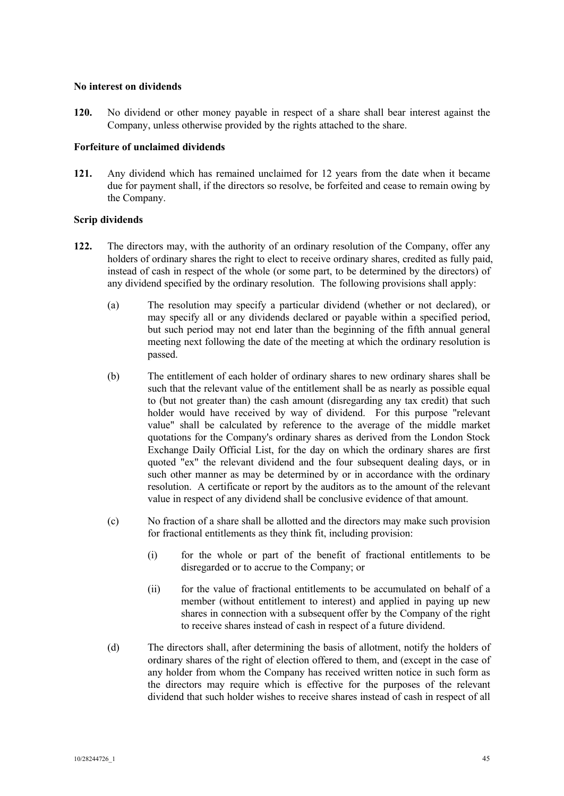## **No interest on dividends**

**120.** No dividend or other money payable in respect of a share shall bear interest against the Company, unless otherwise provided by the rights attached to the share.

## **Forfeiture of unclaimed dividends**

**121.** Any dividend which has remained unclaimed for 12 years from the date when it became due for payment shall, if the directors so resolve, be forfeited and cease to remain owing by the Company.

## **Scrip dividends**

- **122.** The directors may, with the authority of an ordinary resolution of the Company, offer any holders of ordinary shares the right to elect to receive ordinary shares, credited as fully paid, instead of cash in respect of the whole (or some part, to be determined by the directors) of any dividend specified by the ordinary resolution. The following provisions shall apply:
	- (a) The resolution may specify a particular dividend (whether or not declared), or may specify all or any dividends declared or payable within a specified period, but such period may not end later than the beginning of the fifth annual general meeting next following the date of the meeting at which the ordinary resolution is passed.
	- (b) The entitlement of each holder of ordinary shares to new ordinary shares shall be such that the relevant value of the entitlement shall be as nearly as possible equal to (but not greater than) the cash amount (disregarding any tax credit) that such holder would have received by way of dividend. For this purpose "relevant value" shall be calculated by reference to the average of the middle market quotations for the Company's ordinary shares as derived from the London Stock Exchange Daily Official List, for the day on which the ordinary shares are first quoted "ex" the relevant dividend and the four subsequent dealing days, or in such other manner as may be determined by or in accordance with the ordinary resolution. A certificate or report by the auditors as to the amount of the relevant value in respect of any dividend shall be conclusive evidence of that amount.
	- (c) No fraction of a share shall be allotted and the directors may make such provision for fractional entitlements as they think fit, including provision:
		- (i) for the whole or part of the benefit of fractional entitlements to be disregarded or to accrue to the Company; or
		- (ii) for the value of fractional entitlements to be accumulated on behalf of a member (without entitlement to interest) and applied in paying up new shares in connection with a subsequent offer by the Company of the right to receive shares instead of cash in respect of a future dividend.
	- (d) The directors shall, after determining the basis of allotment, notify the holders of ordinary shares of the right of election offered to them, and (except in the case of any holder from whom the Company has received written notice in such form as the directors may require which is effective for the purposes of the relevant dividend that such holder wishes to receive shares instead of cash in respect of all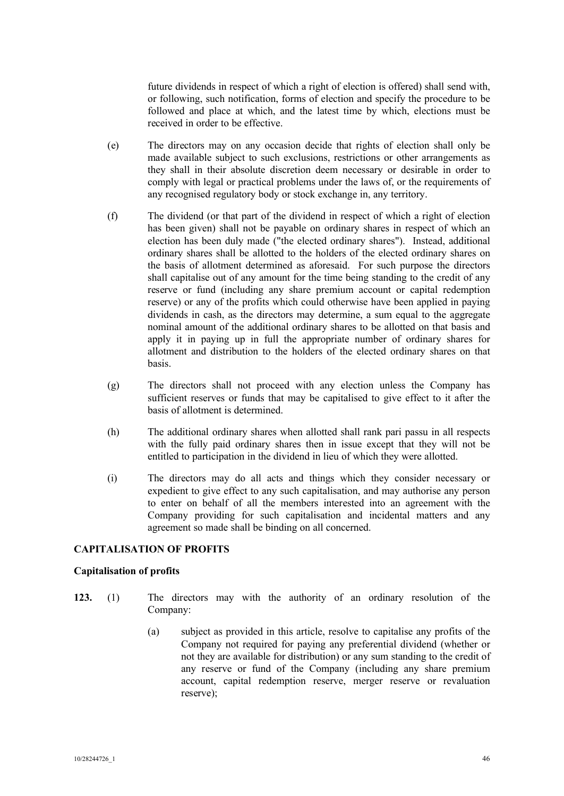future dividends in respect of which a right of election is offered) shall send with, or following, such notification, forms of election and specify the procedure to be followed and place at which, and the latest time by which, elections must be received in order to be effective.

- (e) The directors may on any occasion decide that rights of election shall only be made available subject to such exclusions, restrictions or other arrangements as they shall in their absolute discretion deem necessary or desirable in order to comply with legal or practical problems under the laws of, or the requirements of any recognised regulatory body or stock exchange in, any territory.
- (f) The dividend (or that part of the dividend in respect of which a right of election has been given) shall not be payable on ordinary shares in respect of which an election has been duly made ("the elected ordinary shares"). Instead, additional ordinary shares shall be allotted to the holders of the elected ordinary shares on the basis of allotment determined as aforesaid. For such purpose the directors shall capitalise out of any amount for the time being standing to the credit of any reserve or fund (including any share premium account or capital redemption reserve) or any of the profits which could otherwise have been applied in paying dividends in cash, as the directors may determine, a sum equal to the aggregate nominal amount of the additional ordinary shares to be allotted on that basis and apply it in paying up in full the appropriate number of ordinary shares for allotment and distribution to the holders of the elected ordinary shares on that basis.
- (g) The directors shall not proceed with any election unless the Company has sufficient reserves or funds that may be capitalised to give effect to it after the basis of allotment is determined.
- (h) The additional ordinary shares when allotted shall rank pari passu in all respects with the fully paid ordinary shares then in issue except that they will not be entitled to participation in the dividend in lieu of which they were allotted.
- (i) The directors may do all acts and things which they consider necessary or expedient to give effect to any such capitalisation, and may authorise any person to enter on behalf of all the members interested into an agreement with the Company providing for such capitalisation and incidental matters and any agreement so made shall be binding on all concerned.

# **CAPITALISATION OF PROFITS**

#### **Capitalisation of profits**

- **123.** (1) The directors may with the authority of an ordinary resolution of the Company:
	- (a) subject as provided in this article, resolve to capitalise any profits of the Company not required for paying any preferential dividend (whether or not they are available for distribution) or any sum standing to the credit of any reserve or fund of the Company (including any share premium account, capital redemption reserve, merger reserve or revaluation reserve);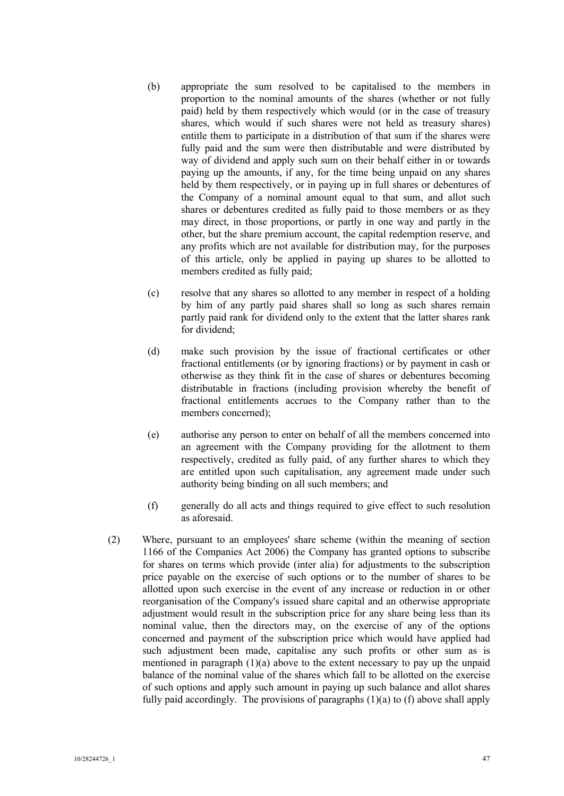- (b) appropriate the sum resolved to be capitalised to the members in proportion to the nominal amounts of the shares (whether or not fully paid) held by them respectively which would (or in the case of treasury shares, which would if such shares were not held as treasury shares) entitle them to participate in a distribution of that sum if the shares were fully paid and the sum were then distributable and were distributed by way of dividend and apply such sum on their behalf either in or towards paying up the amounts, if any, for the time being unpaid on any shares held by them respectively, or in paying up in full shares or debentures of the Company of a nominal amount equal to that sum, and allot such shares or debentures credited as fully paid to those members or as they may direct, in those proportions, or partly in one way and partly in the other, but the share premium account, the capital redemption reserve, and any profits which are not available for distribution may, for the purposes of this article, only be applied in paying up shares to be allotted to members credited as fully paid;
- (c) resolve that any shares so allotted to any member in respect of a holding by him of any partly paid shares shall so long as such shares remain partly paid rank for dividend only to the extent that the latter shares rank for dividend;
- (d) make such provision by the issue of fractional certificates or other fractional entitlements (or by ignoring fractions) or by payment in cash or otherwise as they think fit in the case of shares or debentures becoming distributable in fractions (including provision whereby the benefit of fractional entitlements accrues to the Company rather than to the members concerned);
- (e) authorise any person to enter on behalf of all the members concerned into an agreement with the Company providing for the allotment to them respectively, credited as fully paid, of any further shares to which they are entitled upon such capitalisation, any agreement made under such authority being binding on all such members; and
- (f) generally do all acts and things required to give effect to such resolution as aforesaid.
- (2) Where, pursuant to an employees' share scheme (within the meaning of section 1166 of the Companies Act 2006) the Company has granted options to subscribe for shares on terms which provide (inter alia) for adjustments to the subscription price payable on the exercise of such options or to the number of shares to be allotted upon such exercise in the event of any increase or reduction in or other reorganisation of the Company's issued share capital and an otherwise appropriate adjustment would result in the subscription price for any share being less than its nominal value, then the directors may, on the exercise of any of the options concerned and payment of the subscription price which would have applied had such adjustment been made, capitalise any such profits or other sum as is mentioned in paragraph (1)(a) above to the extent necessary to pay up the unpaid balance of the nominal value of the shares which fall to be allotted on the exercise of such options and apply such amount in paying up such balance and allot shares fully paid accordingly. The provisions of paragraphs  $(1)(a)$  to  $(f)$  above shall apply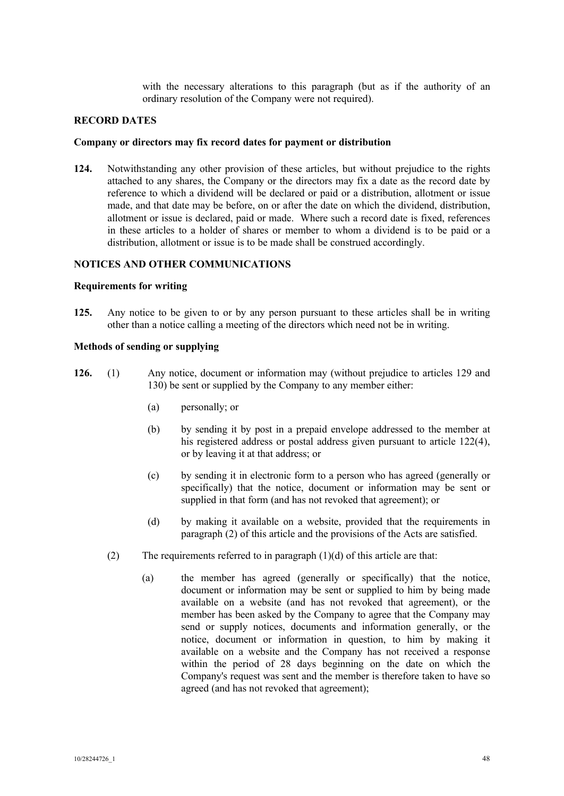with the necessary alterations to this paragraph (but as if the authority of an ordinary resolution of the Company were not required).

## **RECORD DATES**

#### **Company or directors may fix record dates for payment or distribution**

**124.** Notwithstanding any other provision of these articles, but without prejudice to the rights attached to any shares, the Company or the directors may fix a date as the record date by reference to which a dividend will be declared or paid or a distribution, allotment or issue made, and that date may be before, on or after the date on which the dividend, distribution, allotment or issue is declared, paid or made. Where such a record date is fixed, references in these articles to a holder of shares or member to whom a dividend is to be paid or a distribution, allotment or issue is to be made shall be construed accordingly.

# **NOTICES AND OTHER COMMUNICATIONS**

#### **Requirements for writing**

**125.** Any notice to be given to or by any person pursuant to these articles shall be in writing other than a notice calling a meeting of the directors which need not be in writing.

# **Methods of sending or supplying**

- **126.** (1) Any notice, document or information may (without prejudice to articles 129 and 130) be sent or supplied by the Company to any member either:
	- (a) personally; or
	- (b) by sending it by post in a prepaid envelope addressed to the member at his registered address or postal address given pursuant to article 122(4), or by leaving it at that address; or
	- (c) by sending it in electronic form to a person who has agreed (generally or specifically) that the notice, document or information may be sent or supplied in that form (and has not revoked that agreement); or
	- (d) by making it available on a website, provided that the requirements in paragraph (2) of this article and the provisions of the Acts are satisfied.
	- (2) The requirements referred to in paragraph  $(1)(d)$  of this article are that:
		- (a) the member has agreed (generally or specifically) that the notice, document or information may be sent or supplied to him by being made available on a website (and has not revoked that agreement), or the member has been asked by the Company to agree that the Company may send or supply notices, documents and information generally, or the notice, document or information in question, to him by making it available on a website and the Company has not received a response within the period of 28 days beginning on the date on which the Company's request was sent and the member is therefore taken to have so agreed (and has not revoked that agreement);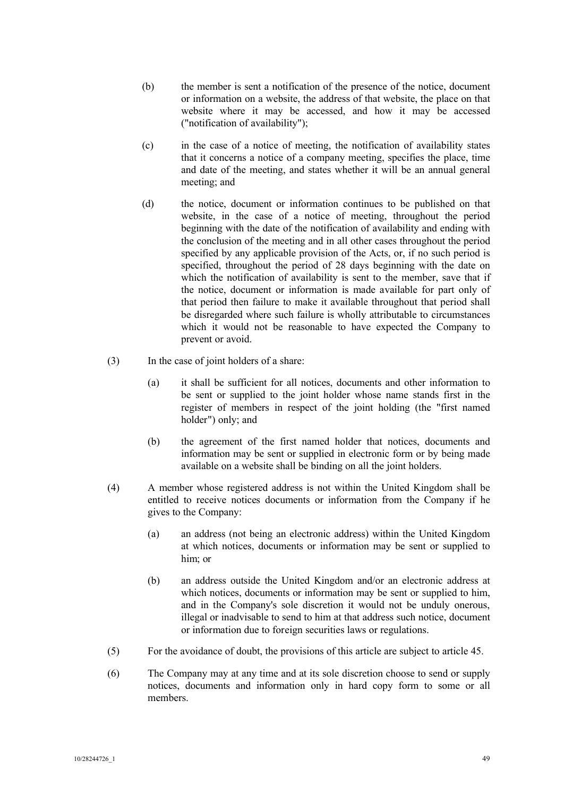- (b) the member is sent a notification of the presence of the notice, document or information on a website, the address of that website, the place on that website where it may be accessed, and how it may be accessed ("notification of availability");
- (c) in the case of a notice of meeting, the notification of availability states that it concerns a notice of a company meeting, specifies the place, time and date of the meeting, and states whether it will be an annual general meeting; and
- (d) the notice, document or information continues to be published on that website, in the case of a notice of meeting, throughout the period beginning with the date of the notification of availability and ending with the conclusion of the meeting and in all other cases throughout the period specified by any applicable provision of the Acts, or, if no such period is specified, throughout the period of 28 days beginning with the date on which the notification of availability is sent to the member, save that if the notice, document or information is made available for part only of that period then failure to make it available throughout that period shall be disregarded where such failure is wholly attributable to circumstances which it would not be reasonable to have expected the Company to prevent or avoid.
- (3) In the case of joint holders of a share:
	- (a) it shall be sufficient for all notices, documents and other information to be sent or supplied to the joint holder whose name stands first in the register of members in respect of the joint holding (the "first named holder") only; and
	- (b) the agreement of the first named holder that notices, documents and information may be sent or supplied in electronic form or by being made available on a website shall be binding on all the joint holders.
- (4) A member whose registered address is not within the United Kingdom shall be entitled to receive notices documents or information from the Company if he gives to the Company:
	- (a) an address (not being an electronic address) within the United Kingdom at which notices, documents or information may be sent or supplied to him; or
	- (b) an address outside the United Kingdom and/or an electronic address at which notices, documents or information may be sent or supplied to him, and in the Company's sole discretion it would not be unduly onerous, illegal or inadvisable to send to him at that address such notice, document or information due to foreign securities laws or regulations.
- (5) For the avoidance of doubt, the provisions of this article are subject to article 45.
- (6) The Company may at any time and at its sole discretion choose to send or supply notices, documents and information only in hard copy form to some or all members.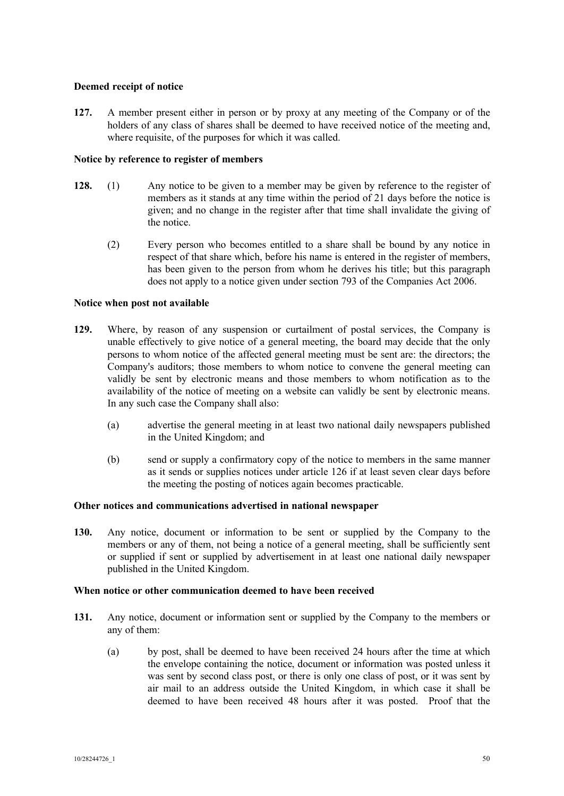# **Deemed receipt of notice**

**127.** A member present either in person or by proxy at any meeting of the Company or of the holders of any class of shares shall be deemed to have received notice of the meeting and, where requisite, of the purposes for which it was called.

# **Notice by reference to register of members**

- **128.** (1) Any notice to be given to a member may be given by reference to the register of members as it stands at any time within the period of 21 days before the notice is given; and no change in the register after that time shall invalidate the giving of the notice.
	- (2) Every person who becomes entitled to a share shall be bound by any notice in respect of that share which, before his name is entered in the register of members, has been given to the person from whom he derives his title; but this paragraph does not apply to a notice given under section 793 of the Companies Act 2006.

# **Notice when post not available**

- **129.** Where, by reason of any suspension or curtailment of postal services, the Company is unable effectively to give notice of a general meeting, the board may decide that the only persons to whom notice of the affected general meeting must be sent are: the directors; the Company's auditors; those members to whom notice to convene the general meeting can validly be sent by electronic means and those members to whom notification as to the availability of the notice of meeting on a website can validly be sent by electronic means. In any such case the Company shall also:
	- (a) advertise the general meeting in at least two national daily newspapers published in the United Kingdom; and
	- (b) send or supply a confirmatory copy of the notice to members in the same manner as it sends or supplies notices under article 126 if at least seven clear days before the meeting the posting of notices again becomes practicable.

# **Other notices and communications advertised in national newspaper**

**130.** Any notice, document or information to be sent or supplied by the Company to the members or any of them, not being a notice of a general meeting, shall be sufficiently sent or supplied if sent or supplied by advertisement in at least one national daily newspaper published in the United Kingdom.

# **When notice or other communication deemed to have been received**

- **131.** Any notice, document or information sent or supplied by the Company to the members or any of them:
	- (a) by post, shall be deemed to have been received 24 hours after the time at which the envelope containing the notice, document or information was posted unless it was sent by second class post, or there is only one class of post, or it was sent by air mail to an address outside the United Kingdom, in which case it shall be deemed to have been received 48 hours after it was posted. Proof that the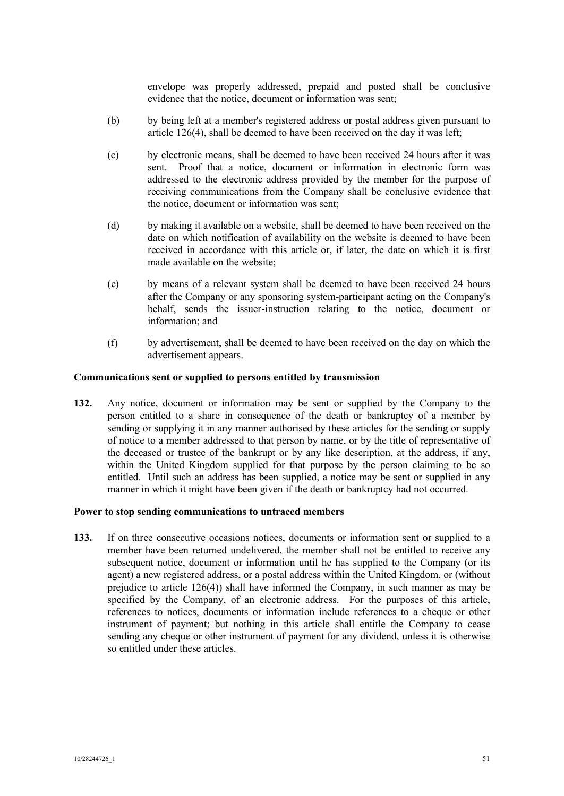envelope was properly addressed, prepaid and posted shall be conclusive evidence that the notice, document or information was sent;

- (b) by being left at a member's registered address or postal address given pursuant to article 126(4), shall be deemed to have been received on the day it was left;
- (c) by electronic means, shall be deemed to have been received 24 hours after it was sent. Proof that a notice, document or information in electronic form was addressed to the electronic address provided by the member for the purpose of receiving communications from the Company shall be conclusive evidence that the notice, document or information was sent;
- (d) by making it available on a website, shall be deemed to have been received on the date on which notification of availability on the website is deemed to have been received in accordance with this article or, if later, the date on which it is first made available on the website;
- (e) by means of a relevant system shall be deemed to have been received 24 hours after the Company or any sponsoring system-participant acting on the Company's behalf, sends the issuer-instruction relating to the notice, document or information; and
- (f) by advertisement, shall be deemed to have been received on the day on which the advertisement appears.

## **Communications sent or supplied to persons entitled by transmission**

**132.** Any notice, document or information may be sent or supplied by the Company to the person entitled to a share in consequence of the death or bankruptcy of a member by sending or supplying it in any manner authorised by these articles for the sending or supply of notice to a member addressed to that person by name, or by the title of representative of the deceased or trustee of the bankrupt or by any like description, at the address, if any, within the United Kingdom supplied for that purpose by the person claiming to be so entitled. Until such an address has been supplied, a notice may be sent or supplied in any manner in which it might have been given if the death or bankruptcy had not occurred.

#### **Power to stop sending communications to untraced members**

**133.** If on three consecutive occasions notices, documents or information sent or supplied to a member have been returned undelivered, the member shall not be entitled to receive any subsequent notice, document or information until he has supplied to the Company (or its agent) a new registered address, or a postal address within the United Kingdom, or (without prejudice to article 126(4)) shall have informed the Company, in such manner as may be specified by the Company, of an electronic address. For the purposes of this article, references to notices, documents or information include references to a cheque or other instrument of payment; but nothing in this article shall entitle the Company to cease sending any cheque or other instrument of payment for any dividend, unless it is otherwise so entitled under these articles.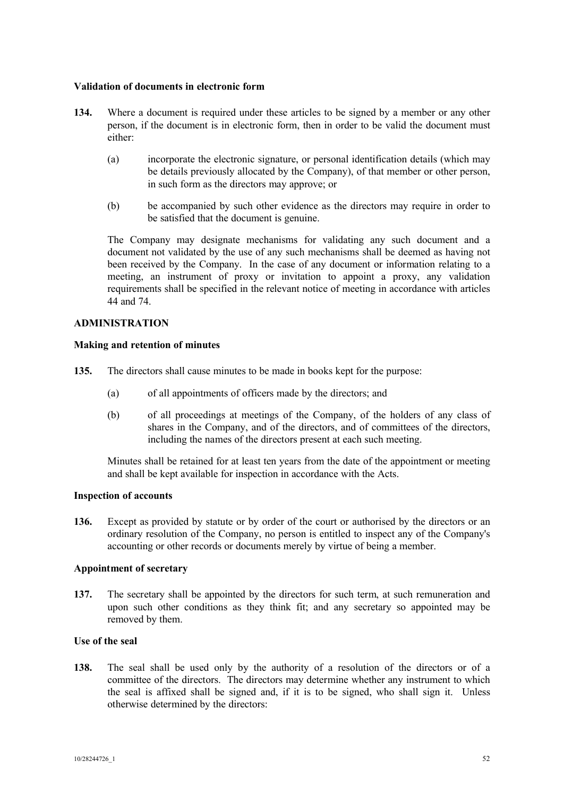## **Validation of documents in electronic form**

- **134.** Where a document is required under these articles to be signed by a member or any other person, if the document is in electronic form, then in order to be valid the document must either:
	- (a) incorporate the electronic signature, or personal identification details (which may be details previously allocated by the Company), of that member or other person, in such form as the directors may approve; or
	- (b) be accompanied by such other evidence as the directors may require in order to be satisfied that the document is genuine.

The Company may designate mechanisms for validating any such document and a document not validated by the use of any such mechanisms shall be deemed as having not been received by the Company. In the case of any document or information relating to a meeting, an instrument of proxy or invitation to appoint a proxy, any validation requirements shall be specified in the relevant notice of meeting in accordance with articles 44 and 74.

# **ADMINISTRATION**

## **Making and retention of minutes**

- **135.** The directors shall cause minutes to be made in books kept for the purpose:
	- (a) of all appointments of officers made by the directors; and
	- (b) of all proceedings at meetings of the Company, of the holders of any class of shares in the Company, and of the directors, and of committees of the directors, including the names of the directors present at each such meeting.

Minutes shall be retained for at least ten years from the date of the appointment or meeting and shall be kept available for inspection in accordance with the Acts.

## **Inspection of accounts**

**136.** Except as provided by statute or by order of the court or authorised by the directors or an ordinary resolution of the Company, no person is entitled to inspect any of the Company's accounting or other records or documents merely by virtue of being a member.

# **Appointment of secretary**

**137.** The secretary shall be appointed by the directors for such term, at such remuneration and upon such other conditions as they think fit; and any secretary so appointed may be removed by them.

# **Use of the seal**

**138.** The seal shall be used only by the authority of a resolution of the directors or of a committee of the directors. The directors may determine whether any instrument to which the seal is affixed shall be signed and, if it is to be signed, who shall sign it. Unless otherwise determined by the directors: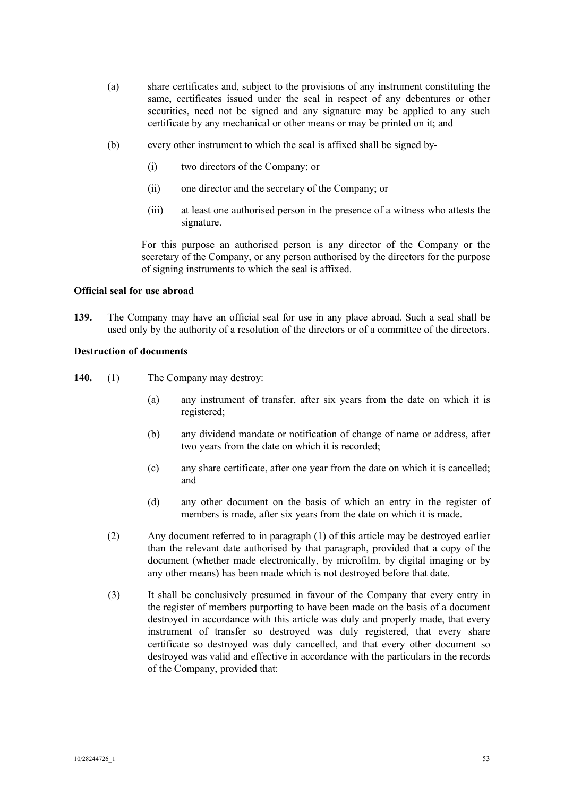- (a) share certificates and, subject to the provisions of any instrument constituting the same, certificates issued under the seal in respect of any debentures or other securities, need not be signed and any signature may be applied to any such certificate by any mechanical or other means or may be printed on it; and
- (b) every other instrument to which the seal is affixed shall be signed by-
	- (i) two directors of the Company; or
	- (ii) one director and the secretary of the Company; or
	- (iii) at least one authorised person in the presence of a witness who attests the signature.

For this purpose an authorised person is any director of the Company or the secretary of the Company, or any person authorised by the directors for the purpose of signing instruments to which the seal is affixed.

# **Official seal for use abroad**

**139.** The Company may have an official seal for use in any place abroad. Such a seal shall be used only by the authority of a resolution of the directors or of a committee of the directors.

# **Destruction of documents**

- **140.** (1) The Company may destroy:
	- (a) any instrument of transfer, after six years from the date on which it is registered;
	- (b) any dividend mandate or notification of change of name or address, after two years from the date on which it is recorded;
	- (c) any share certificate, after one year from the date on which it is cancelled; and
	- (d) any other document on the basis of which an entry in the register of members is made, after six years from the date on which it is made.
	- (2) Any document referred to in paragraph (1) of this article may be destroyed earlier than the relevant date authorised by that paragraph, provided that a copy of the document (whether made electronically, by microfilm, by digital imaging or by any other means) has been made which is not destroyed before that date.
	- (3) It shall be conclusively presumed in favour of the Company that every entry in the register of members purporting to have been made on the basis of a document destroyed in accordance with this article was duly and properly made, that every instrument of transfer so destroyed was duly registered, that every share certificate so destroyed was duly cancelled, and that every other document so destroyed was valid and effective in accordance with the particulars in the records of the Company, provided that: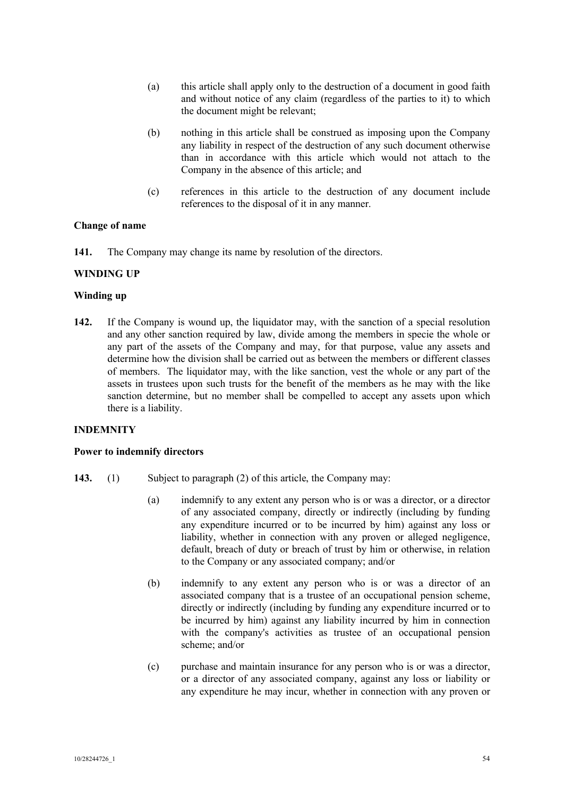- (a) this article shall apply only to the destruction of a document in good faith and without notice of any claim (regardless of the parties to it) to which the document might be relevant;
- (b) nothing in this article shall be construed as imposing upon the Company any liability in respect of the destruction of any such document otherwise than in accordance with this article which would not attach to the Company in the absence of this article; and
- (c) references in this article to the destruction of any document include references to the disposal of it in any manner.

## **Change of name**

**141.** The Company may change its name by resolution of the directors.

## **WINDING UP**

#### **Winding up**

**142.** If the Company is wound up, the liquidator may, with the sanction of a special resolution and any other sanction required by law, divide among the members in specie the whole or any part of the assets of the Company and may, for that purpose, value any assets and determine how the division shall be carried out as between the members or different classes of members. The liquidator may, with the like sanction, vest the whole or any part of the assets in trustees upon such trusts for the benefit of the members as he may with the like sanction determine, but no member shall be compelled to accept any assets upon which there is a liability.

#### **INDEMNITY**

#### **Power to indemnify directors**

- **143.** (1) Subject to paragraph (2) of this article, the Company may:
	- (a) indemnify to any extent any person who is or was a director, or a director of any associated company, directly or indirectly (including by funding any expenditure incurred or to be incurred by him) against any loss or liability, whether in connection with any proven or alleged negligence, default, breach of duty or breach of trust by him or otherwise, in relation to the Company or any associated company; and/or
	- (b) indemnify to any extent any person who is or was a director of an associated company that is a trustee of an occupational pension scheme, directly or indirectly (including by funding any expenditure incurred or to be incurred by him) against any liability incurred by him in connection with the company's activities as trustee of an occupational pension scheme; and/or
	- (c) purchase and maintain insurance for any person who is or was a director, or a director of any associated company, against any loss or liability or any expenditure he may incur, whether in connection with any proven or